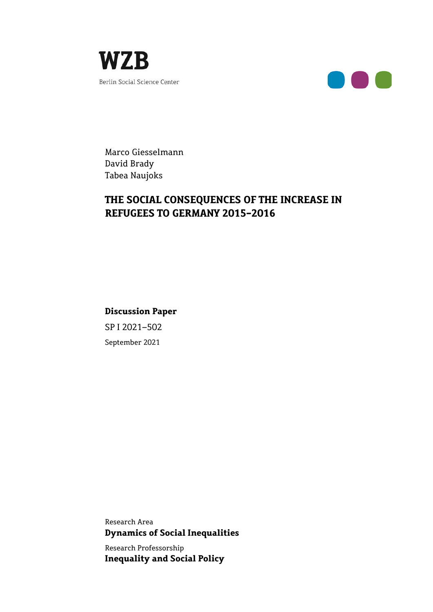



Marco Giesselmann David Brady Tabea Naujoks

# **THE SOCIAL CONSEQUENCES OF THE INCREASE IN REFUGEES TO GERMANY 2015-2016**

**Discussion Paper** SP I 2021–502

September 2021

Research Area **Dynamics of Social Inequalities** 

Research Professorship **Inequality and Social Policy**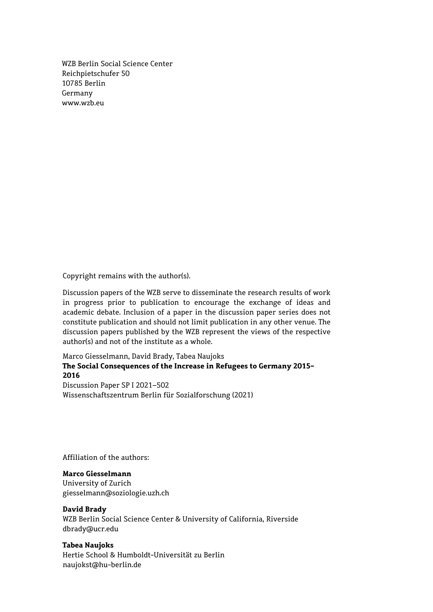WZB Berlin Social Science Center Reichpietschufer 50 10785 Berlin Germany www.wzb.eu

Copyright remains with the author(s).

Discussion papers of the WZB serve to disseminate the research results of work in progress prior to publication to encourage the exchange of ideas and academic debate. Inclusion of a paper in the discussion paper series does not constitute publication and should not limit publication in any other venue. The discussion papers published by the WZB represent the views of the respective author(s) and not of the institute as a whole.

# Marco Giesselmann, David Brady, Tabea Naujoks **The Social Consequences of the Increase in Refugees to Germany 2015- 2016**  Discussion Paper SP I 2021–502

Wissenschaftszentrum Berlin für Sozialforschung (2021)

Affiliation of the authors:

## **Marco Giesselmann**

University of Zurich giesselmann@soziologie.uzh.ch

#### **David Brady**

WZB Berlin Social Science Center & University of California, Riverside dbrady@ucr.edu

#### **Tabea Naujoks**

Hertie School & Humboldt-Universität zu Berlin naujokst@hu-berlin.de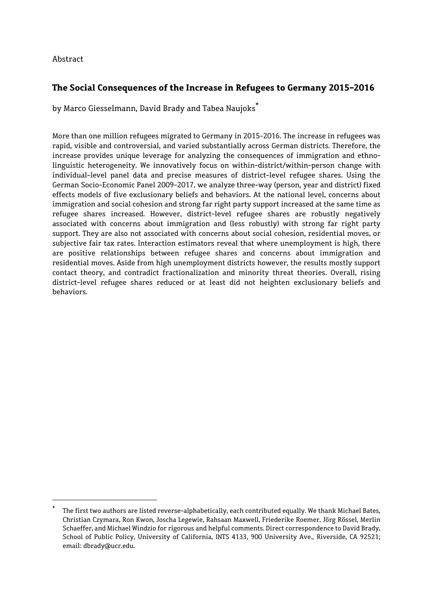# Abstract

1

# **The Social Consequences of the Increase in Refugees to Germany 2015-2016**

by Marco Giesselmann, David Brady and Tabea Naujoks<sup>\*</sup>

More than one million refugees migrated to Germany in 2015-2016. The increase in refugees was rapid, visible and controversial, and varied substantially across German districts. Therefore, the increase provides unique leverage for analyzing the consequences of immigration and ethnolinguistic heterogeneity. We innovatively focus on within-district/within-person change with individual-level panel data and precise measures of district-level refugee shares. Using the German Socio-Economic Panel 2009-2017, we analyze three-way (person, year and district) fixed effects models of five exclusionary beliefs and behaviors. At the national level, concerns about immigration and social cohesion and strong far right party support increased at the same time as refugee shares increased. However, district-level refugee shares are robustly negatively associated with concerns about immigration and (less robustly) with strong far right party support. They are also not associated with concerns about social cohesion, residential moves, or subjective fair tax rates. Interaction estimators reveal that where unemployment is high, there are positive relationships between refugee shares and concerns about immigration and residential moves. Aside from high unemployment districts however, the results mostly support contact theory, and contradict fractionalization and minority threat theories. Overall, rising district-level refugee shares reduced or at least did not heighten exclusionary beliefs and behaviors.

The first two authors are listed reverse-alphabetically, each contributed equally. We thank Michael Bates, Christian Czymara, Ron Kwon, Joscha Legewie, Rahsaan Maxwell, Friederike Roemer, Jörg Rössel, Merlin Schaeffer, and Michael Windzio for rigorous and helpful comments. Direct correspondence to David Brady, School of Public Policy, University of California, INTS 4133, 900 University Ave., Riverside, CA 92521; email: dbrady@ucr.edu.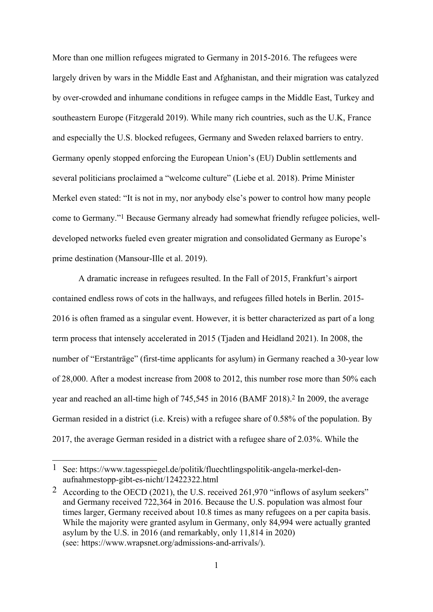More than one million refugees migrated to Germany in 2015-2016. The refugees were largely driven by wars in the Middle East and Afghanistan, and their migration was catalyzed by over-crowded and inhumane conditions in refugee camps in the Middle East, Turkey and southeastern Europe (Fitzgerald 2019). While many rich countries, such as the U.K, France and especially the U.S. blocked refugees, Germany and Sweden relaxed barriers to entry. Germany openly stopped enforcing the European Union's (EU) Dublin settlements and several politicians proclaimed a "welcome culture" (Liebe et al. 2018). Prime Minister Merkel even stated: "It is not in my, nor anybody else's power to control how many people come to Germany."1 Because Germany already had somewhat friendly refugee policies, welldeveloped networks fueled even greater migration and consolidated Germany as Europe's prime destination (Mansour-Ille et al. 2019).

A dramatic increase in refugees resulted. In the Fall of 2015, Frankfurt's airport contained endless rows of cots in the hallways, and refugees filled hotels in Berlin. 2015- 2016 is often framed as a singular event. However, it is better characterized as part of a long term process that intensely accelerated in 2015 (Tjaden and Heidland 2021). In 2008, the number of "Erstanträge" (first-time applicants for asylum) in Germany reached a 30-year low of 28,000. After a modest increase from 2008 to 2012, this number rose more than 50% each year and reached an all-time high of 745,545 in 2016 (BAMF 2018).2 In 2009, the average German resided in a district (i.e. Kreis) with a refugee share of 0.58% of the population. By 2017, the average German resided in a district with a refugee share of 2.03%. While the

<sup>1</sup> See: https://www.tagesspiegel.de/politik/fluechtlingspolitik-angela-merkel-denaufnahmestopp-gibt-es-nicht/12422322.html

<sup>2</sup> According to the OECD (2021), the U.S. received 261,970 "inflows of asylum seekers" and Germany received 722,364 in 2016. Because the U.S. population was almost four times larger, Germany received about 10.8 times as many refugees on a per capita basis. While the majority were granted asylum in Germany, only 84,994 were actually granted asylum by the U.S. in 2016 (and remarkably, only 11,814 in 2020) (see: https://www.wrapsnet.org/admissions-and-arrivals/).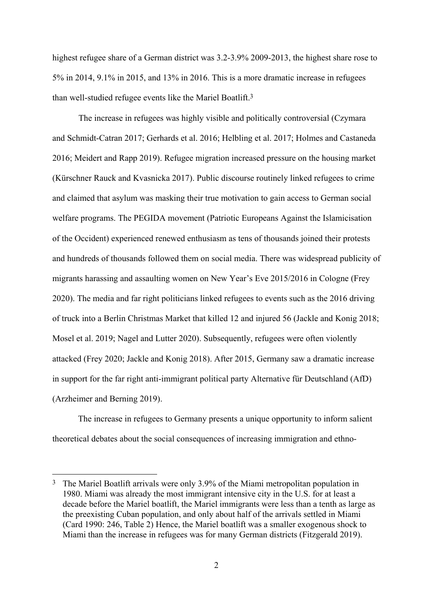highest refugee share of a German district was 3.2-3.9% 2009-2013, the highest share rose to 5% in 2014, 9.1% in 2015, and 13% in 2016. This is a more dramatic increase in refugees than well-studied refugee events like the Mariel Boatlift.3

The increase in refugees was highly visible and politically controversial (Czymara and Schmidt-Catran 2017; Gerhards et al. 2016; Helbling et al. 2017; Holmes and Castaneda 2016; Meidert and Rapp 2019). Refugee migration increased pressure on the housing market (Kürschner Rauck and Kvasnicka 2017). Public discourse routinely linked refugees to crime and claimed that asylum was masking their true motivation to gain access to German social welfare programs. The PEGIDA movement (Patriotic Europeans Against the Islamicisation of the Occident) experienced renewed enthusiasm as tens of thousands joined their protests and hundreds of thousands followed them on social media. There was widespread publicity of migrants harassing and assaulting women on New Year's Eve 2015/2016 in Cologne (Frey 2020). The media and far right politicians linked refugees to events such as the 2016 driving of truck into a Berlin Christmas Market that killed 12 and injured 56 (Jackle and Konig 2018; Mosel et al. 2019; Nagel and Lutter 2020). Subsequently, refugees were often violently attacked (Frey 2020; Jackle and Konig 2018). After 2015, Germany saw a dramatic increase in support for the far right anti-immigrant political party Alternative für Deutschland (AfD) (Arzheimer and Berning 2019).

 The increase in refugees to Germany presents a unique opportunity to inform salient theoretical debates about the social consequences of increasing immigration and ethno-

<sup>3</sup> The Mariel Boatlift arrivals were only 3.9% of the Miami metropolitan population in 1980. Miami was already the most immigrant intensive city in the U.S. for at least a decade before the Mariel boatlift, the Mariel immigrants were less than a tenth as large as the preexisting Cuban population, and only about half of the arrivals settled in Miami (Card 1990: 246, Table 2) Hence, the Mariel boatlift was a smaller exogenous shock to Miami than the increase in refugees was for many German districts (Fitzgerald 2019).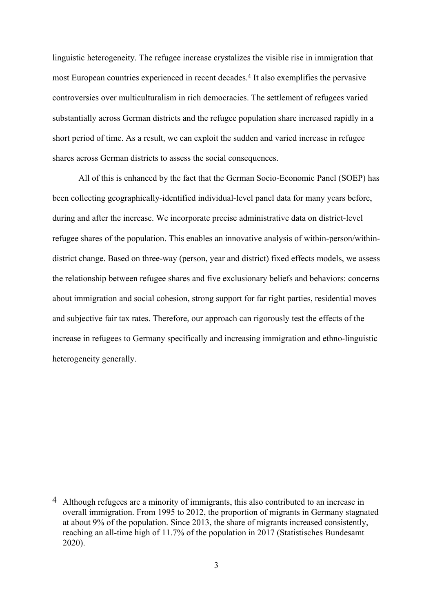linguistic heterogeneity. The refugee increase crystalizes the visible rise in immigration that most European countries experienced in recent decades.4 It also exemplifies the pervasive controversies over multiculturalism in rich democracies. The settlement of refugees varied substantially across German districts and the refugee population share increased rapidly in a short period of time. As a result, we can exploit the sudden and varied increase in refugee shares across German districts to assess the social consequences.

All of this is enhanced by the fact that the German Socio-Economic Panel (SOEP) has been collecting geographically-identified individual-level panel data for many years before, during and after the increase. We incorporate precise administrative data on district-level refugee shares of the population. This enables an innovative analysis of within-person/withindistrict change. Based on three-way (person, year and district) fixed effects models, we assess the relationship between refugee shares and five exclusionary beliefs and behaviors: concerns about immigration and social cohesion, strong support for far right parties, residential moves and subjective fair tax rates. Therefore, our approach can rigorously test the effects of the increase in refugees to Germany specifically and increasing immigration and ethno-linguistic heterogeneity generally.

<sup>4</sup> Although refugees are a minority of immigrants, this also contributed to an increase in overall immigration. From 1995 to 2012, the proportion of migrants in Germany stagnated at about 9% of the population. Since 2013, the share of migrants increased consistently, reaching an all-time high of 11.7% of the population in 2017 (Statistisches Bundesamt 2020).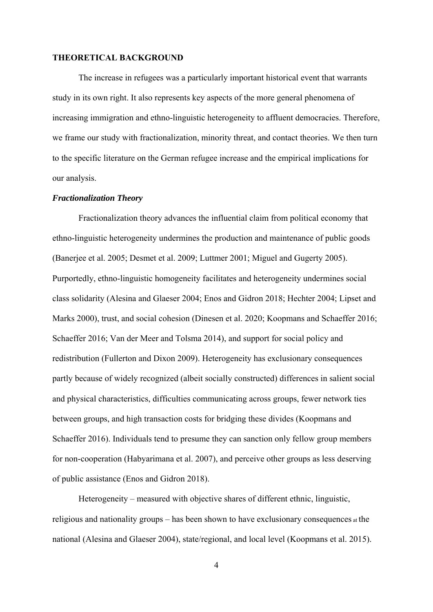#### **THEORETICAL BACKGROUND**

The increase in refugees was a particularly important historical event that warrants study in its own right. It also represents key aspects of the more general phenomena of increasing immigration and ethno-linguistic heterogeneity to affluent democracies. Therefore, we frame our study with fractionalization, minority threat, and contact theories. We then turn to the specific literature on the German refugee increase and the empirical implications for our analysis.

#### *Fractionalization Theory*

Fractionalization theory advances the influential claim from political economy that ethno-linguistic heterogeneity undermines the production and maintenance of public goods (Banerjee et al. 2005; Desmet et al. 2009; Luttmer 2001; Miguel and Gugerty 2005). Purportedly, ethno-linguistic homogeneity facilitates and heterogeneity undermines social class solidarity (Alesina and Glaeser 2004; Enos and Gidron 2018; Hechter 2004; Lipset and Marks 2000), trust, and social cohesion (Dinesen et al. 2020; Koopmans and Schaeffer 2016; Schaeffer 2016; Van der Meer and Tolsma 2014), and support for social policy and redistribution (Fullerton and Dixon 2009). Heterogeneity has exclusionary consequences partly because of widely recognized (albeit socially constructed) differences in salient social and physical characteristics, difficulties communicating across groups, fewer network ties between groups, and high transaction costs for bridging these divides (Koopmans and Schaeffer 2016). Individuals tend to presume they can sanction only fellow group members for non-cooperation (Habyarimana et al. 2007), and perceive other groups as less deserving of public assistance (Enos and Gidron 2018).

Heterogeneity – measured with objective shares of different ethnic, linguistic, religious and nationality groups – has been shown to have exclusionary consequences at the national (Alesina and Glaeser 2004), state/regional, and local level (Koopmans et al. 2015).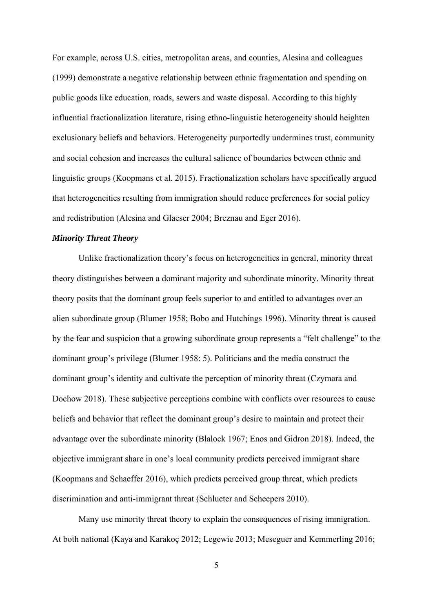For example, across U.S. cities, metropolitan areas, and counties, Alesina and colleagues (1999) demonstrate a negative relationship between ethnic fragmentation and spending on public goods like education, roads, sewers and waste disposal. According to this highly influential fractionalization literature, rising ethno-linguistic heterogeneity should heighten exclusionary beliefs and behaviors. Heterogeneity purportedly undermines trust, community and social cohesion and increases the cultural salience of boundaries between ethnic and linguistic groups (Koopmans et al. 2015). Fractionalization scholars have specifically argued that heterogeneities resulting from immigration should reduce preferences for social policy and redistribution (Alesina and Glaeser 2004; Breznau and Eger 2016).

#### *Minority Threat Theory*

Unlike fractionalization theory's focus on heterogeneities in general, minority threat theory distinguishes between a dominant majority and subordinate minority. Minority threat theory posits that the dominant group feels superior to and entitled to advantages over an alien subordinate group (Blumer 1958; Bobo and Hutchings 1996). Minority threat is caused by the fear and suspicion that a growing subordinate group represents a "felt challenge" to the dominant group's privilege (Blumer 1958: 5). Politicians and the media construct the dominant group's identity and cultivate the perception of minority threat (Czymara and Dochow 2018). These subjective perceptions combine with conflicts over resources to cause beliefs and behavior that reflect the dominant group's desire to maintain and protect their advantage over the subordinate minority (Blalock 1967; Enos and Gidron 2018). Indeed, the objective immigrant share in one's local community predicts perceived immigrant share (Koopmans and Schaeffer 2016), which predicts perceived group threat, which predicts discrimination and anti-immigrant threat (Schlueter and Scheepers 2010).

Many use minority threat theory to explain the consequences of rising immigration. At both national (Kaya and Karakoç 2012; Legewie 2013; Meseguer and Kemmerling 2016;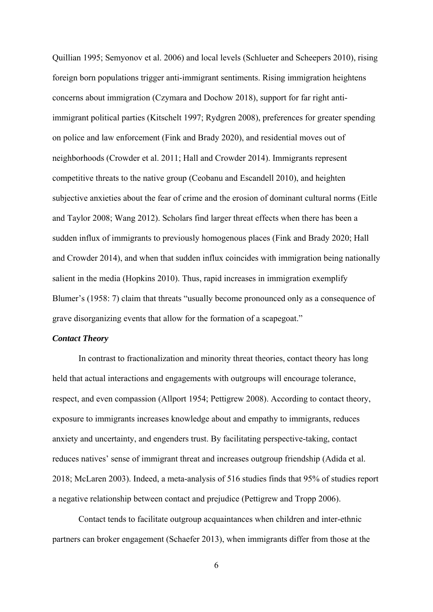Quillian 1995; Semyonov et al. 2006) and local levels (Schlueter and Scheepers 2010), rising foreign born populations trigger anti-immigrant sentiments. Rising immigration heightens concerns about immigration (Czymara and Dochow 2018), support for far right antiimmigrant political parties (Kitschelt 1997; Rydgren 2008), preferences for greater spending on police and law enforcement (Fink and Brady 2020), and residential moves out of neighborhoods (Crowder et al. 2011; Hall and Crowder 2014). Immigrants represent competitive threats to the native group (Ceobanu and Escandell 2010), and heighten subjective anxieties about the fear of crime and the erosion of dominant cultural norms (Eitle and Taylor 2008; Wang 2012). Scholars find larger threat effects when there has been a sudden influx of immigrants to previously homogenous places (Fink and Brady 2020; Hall and Crowder 2014), and when that sudden influx coincides with immigration being nationally salient in the media (Hopkins 2010). Thus, rapid increases in immigration exemplify Blumer's (1958: 7) claim that threats "usually become pronounced only as a consequence of grave disorganizing events that allow for the formation of a scapegoat."

#### *Contact Theory*

In contrast to fractionalization and minority threat theories, contact theory has long held that actual interactions and engagements with outgroups will encourage tolerance, respect, and even compassion (Allport 1954; Pettigrew 2008). According to contact theory, exposure to immigrants increases knowledge about and empathy to immigrants, reduces anxiety and uncertainty, and engenders trust. By facilitating perspective-taking, contact reduces natives' sense of immigrant threat and increases outgroup friendship (Adida et al. 2018; McLaren 2003). Indeed, a meta-analysis of 516 studies finds that 95% of studies report a negative relationship between contact and prejudice (Pettigrew and Tropp 2006).

Contact tends to facilitate outgroup acquaintances when children and inter-ethnic partners can broker engagement (Schaefer 2013), when immigrants differ from those at the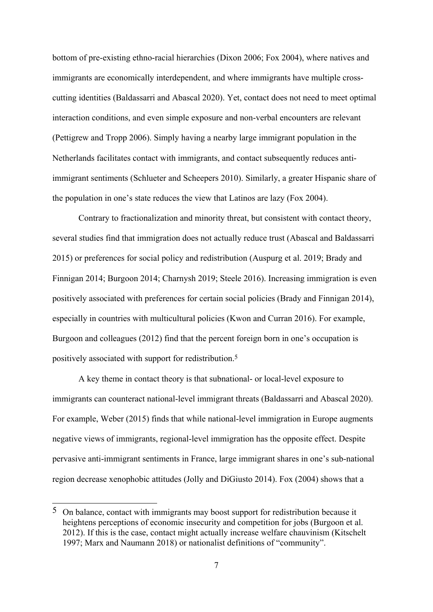bottom of pre-existing ethno-racial hierarchies (Dixon 2006; Fox 2004), where natives and immigrants are economically interdependent, and where immigrants have multiple crosscutting identities (Baldassarri and Abascal 2020). Yet, contact does not need to meet optimal interaction conditions, and even simple exposure and non-verbal encounters are relevant (Pettigrew and Tropp 2006). Simply having a nearby large immigrant population in the Netherlands facilitates contact with immigrants, and contact subsequently reduces antiimmigrant sentiments (Schlueter and Scheepers 2010). Similarly, a greater Hispanic share of the population in one's state reduces the view that Latinos are lazy (Fox 2004).

Contrary to fractionalization and minority threat, but consistent with contact theory, several studies find that immigration does not actually reduce trust (Abascal and Baldassarri 2015) or preferences for social policy and redistribution (Auspurg et al. 2019; Brady and Finnigan 2014; Burgoon 2014; Charnysh 2019; Steele 2016). Increasing immigration is even positively associated with preferences for certain social policies (Brady and Finnigan 2014), especially in countries with multicultural policies (Kwon and Curran 2016). For example, Burgoon and colleagues (2012) find that the percent foreign born in one's occupation is positively associated with support for redistribution.5

A key theme in contact theory is that subnational- or local-level exposure to immigrants can counteract national-level immigrant threats (Baldassarri and Abascal 2020). For example, Weber (2015) finds that while national-level immigration in Europe augments negative views of immigrants, regional-level immigration has the opposite effect. Despite pervasive anti-immigrant sentiments in France, large immigrant shares in one's sub-national region decrease xenophobic attitudes (Jolly and DiGiusto 2014). Fox (2004) shows that a

 $5$  On balance, contact with immigrants may boost support for redistribution because it heightens perceptions of economic insecurity and competition for jobs (Burgoon et al. 2012). If this is the case, contact might actually increase welfare chauvinism (Kitschelt 1997; Marx and Naumann 2018) or nationalist definitions of "community".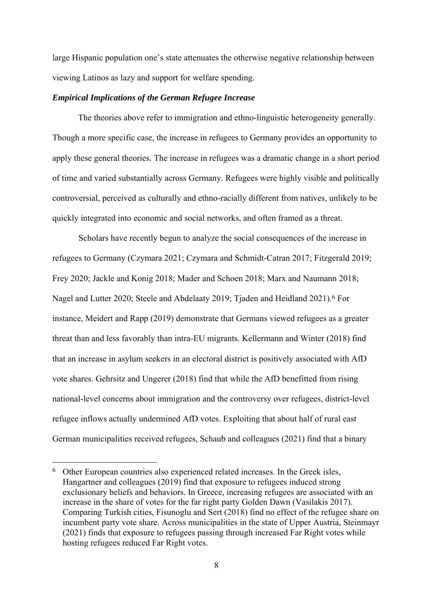large Hispanic population one's state attenuates the otherwise negative relationship between viewing Latinos as lazy and support for welfare spending.

#### *Empirical Implications of the German Refugee Increase*

 The theories above refer to immigration and ethno-linguistic heterogeneity generally. Though a more specific case, the increase in refugees to Germany provides an opportunity to apply these general theories. The increase in refugees was a dramatic change in a short period of time and varied substantially across Germany. Refugees were highly visible and politically controversial, perceived as culturally and ethno-racially different from natives, unlikely to be quickly integrated into economic and social networks, and often framed as a threat.

Scholars have recently begun to analyze the social consequences of the increase in refugees to Germany (Czymara 2021; Czymara and Schmidt-Catran 2017; Fitzgerald 2019; Frey 2020; Jackle and Konig 2018; Mader and Schoen 2018; Marx and Naumann 2018; Nagel and Lutter 2020; Steele and Abdelaaty 2019; Tjaden and Heidland 2021).6 For instance, Meidert and Rapp (2019) demonstrate that Germans viewed refugees as a greater threat than and less favorably than intra-EU migrants. Kellermann and Winter (2018) find that an increase in asylum seekers in an electoral district is positively associated with AfD vote shares. Gehrsitz and Ungerer (2018) find that while the AfD benefitted from rising national-level concerns about immigration and the controversy over refugees, district-level refugee inflows actually undermined AfD votes. Exploiting that about half of rural east German municipalities received refugees, Schaub and colleagues (2021) find that a binary

<sup>6</sup> Other European countries also experienced related increases. In the Greek isles, Hangartner and colleagues (2019) find that exposure to refugees induced strong exclusionary beliefs and behaviors. In Greece, increasing refugees are associated with an increase in the share of votes for the far right party Golden Dawn (Vasilakis 2017). Comparing Turkish cities, Fisunoglu and Sert (2018) find no effect of the refugee share on incumbent party vote share. Across municipalities in the state of Upper Austria, Steinmayr (2021) finds that exposure to refugees passing through increased Far Right votes while hosting refugees reduced Far Right votes.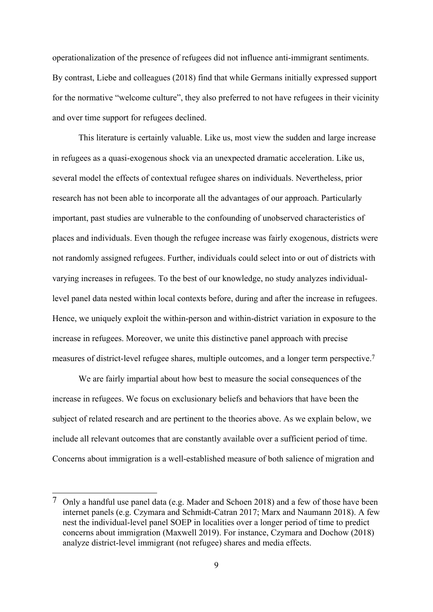operationalization of the presence of refugees did not influence anti-immigrant sentiments. By contrast, Liebe and colleagues (2018) find that while Germans initially expressed support for the normative "welcome culture", they also preferred to not have refugees in their vicinity and over time support for refugees declined.

This literature is certainly valuable. Like us, most view the sudden and large increase in refugees as a quasi-exogenous shock via an unexpected dramatic acceleration. Like us, several model the effects of contextual refugee shares on individuals. Nevertheless, prior research has not been able to incorporate all the advantages of our approach. Particularly important, past studies are vulnerable to the confounding of unobserved characteristics of places and individuals. Even though the refugee increase was fairly exogenous, districts were not randomly assigned refugees. Further, individuals could select into or out of districts with varying increases in refugees. To the best of our knowledge, no study analyzes individuallevel panel data nested within local contexts before, during and after the increase in refugees. Hence, we uniquely exploit the within-person and within-district variation in exposure to the increase in refugees. Moreover, we unite this distinctive panel approach with precise measures of district-level refugee shares, multiple outcomes, and a longer term perspective.7

We are fairly impartial about how best to measure the social consequences of the increase in refugees. We focus on exclusionary beliefs and behaviors that have been the subject of related research and are pertinent to the theories above. As we explain below, we include all relevant outcomes that are constantly available over a sufficient period of time. Concerns about immigration is a well-established measure of both salience of migration and

 $7$  Only a handful use panel data (e.g. Mader and Schoen 2018) and a few of those have been internet panels (e.g. Czymara and Schmidt-Catran 2017; Marx and Naumann 2018). A few nest the individual-level panel SOEP in localities over a longer period of time to predict concerns about immigration (Maxwell 2019). For instance, Czymara and Dochow (2018) analyze district-level immigrant (not refugee) shares and media effects.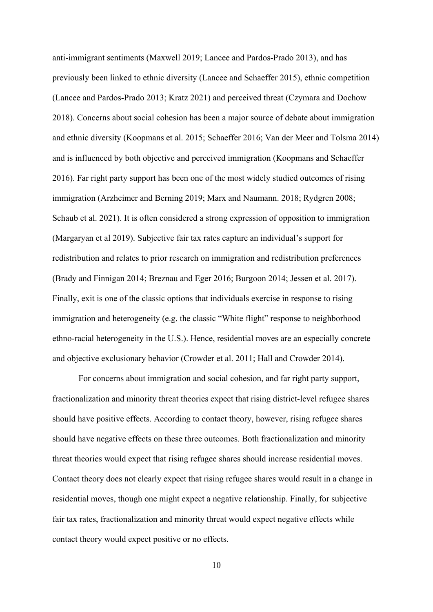anti-immigrant sentiments (Maxwell 2019; Lancee and Pardos-Prado 2013), and has previously been linked to ethnic diversity (Lancee and Schaeffer 2015), ethnic competition (Lancee and Pardos-Prado 2013; Kratz 2021) and perceived threat (Czymara and Dochow 2018). Concerns about social cohesion has been a major source of debate about immigration and ethnic diversity (Koopmans et al. 2015; Schaeffer 2016; Van der Meer and Tolsma 2014) and is influenced by both objective and perceived immigration (Koopmans and Schaeffer 2016). Far right party support has been one of the most widely studied outcomes of rising immigration (Arzheimer and Berning 2019; Marx and Naumann. 2018; Rydgren 2008; Schaub et al. 2021). It is often considered a strong expression of opposition to immigration (Margaryan et al 2019). Subjective fair tax rates capture an individual's support for redistribution and relates to prior research on immigration and redistribution preferences (Brady and Finnigan 2014; Breznau and Eger 2016; Burgoon 2014; Jessen et al. 2017). Finally, exit is one of the classic options that individuals exercise in response to rising immigration and heterogeneity (e.g. the classic "White flight" response to neighborhood ethno-racial heterogeneity in the U.S.). Hence, residential moves are an especially concrete and objective exclusionary behavior (Crowder et al. 2011; Hall and Crowder 2014).

For concerns about immigration and social cohesion, and far right party support, fractionalization and minority threat theories expect that rising district-level refugee shares should have positive effects. According to contact theory, however, rising refugee shares should have negative effects on these three outcomes. Both fractionalization and minority threat theories would expect that rising refugee shares should increase residential moves. Contact theory does not clearly expect that rising refugee shares would result in a change in residential moves, though one might expect a negative relationship. Finally, for subjective fair tax rates, fractionalization and minority threat would expect negative effects while contact theory would expect positive or no effects.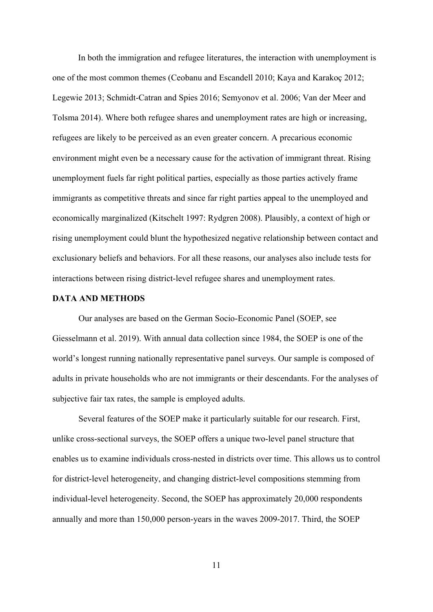In both the immigration and refugee literatures, the interaction with unemployment is one of the most common themes (Ceobanu and Escandell 2010; Kaya and Karakoç 2012; Legewie 2013; Schmidt-Catran and Spies 2016; Semyonov et al. 2006; Van der Meer and Tolsma 2014). Where both refugee shares and unemployment rates are high or increasing, refugees are likely to be perceived as an even greater concern. A precarious economic environment might even be a necessary cause for the activation of immigrant threat. Rising unemployment fuels far right political parties, especially as those parties actively frame immigrants as competitive threats and since far right parties appeal to the unemployed and economically marginalized (Kitschelt 1997: Rydgren 2008). Plausibly, a context of high or rising unemployment could blunt the hypothesized negative relationship between contact and exclusionary beliefs and behaviors. For all these reasons, our analyses also include tests for interactions between rising district-level refugee shares and unemployment rates.

#### **DATA AND METHODS**

Our analyses are based on the German Socio-Economic Panel (SOEP, see Giesselmann et al. 2019). With annual data collection since 1984, the SOEP is one of the world's longest running nationally representative panel surveys. Our sample is composed of adults in private households who are not immigrants or their descendants. For the analyses of subjective fair tax rates, the sample is employed adults.

Several features of the SOEP make it particularly suitable for our research. First, unlike cross-sectional surveys, the SOEP offers a unique two-level panel structure that enables us to examine individuals cross-nested in districts over time. This allows us to control for district-level heterogeneity, and changing district-level compositions stemming from individual-level heterogeneity. Second, the SOEP has approximately 20,000 respondents annually and more than 150,000 person-years in the waves 2009-2017. Third, the SOEP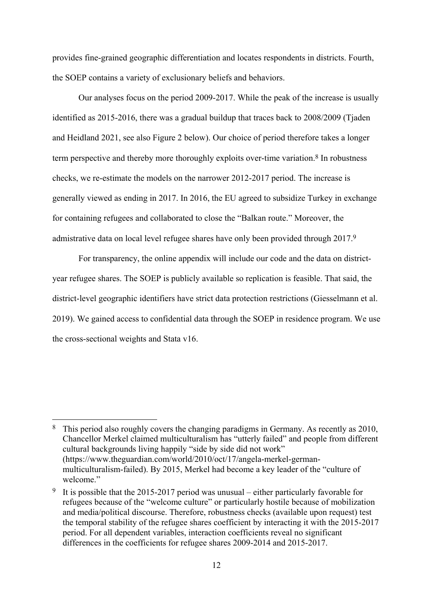provides fine-grained geographic differentiation and locates respondents in districts. Fourth, the SOEP contains a variety of exclusionary beliefs and behaviors.

Our analyses focus on the period 2009-2017. While the peak of the increase is usually identified as 2015-2016, there was a gradual buildup that traces back to 2008/2009 (Tjaden and Heidland 2021, see also Figure 2 below). Our choice of period therefore takes a longer term perspective and thereby more thoroughly exploits over-time variation.8 In robustness checks, we re-estimate the models on the narrower 2012-2017 period. The increase is generally viewed as ending in 2017. In 2016, the EU agreed to subsidize Turkey in exchange for containing refugees and collaborated to close the "Balkan route." Moreover, the admistrative data on local level refugee shares have only been provided through 2017.9

For transparency, the online appendix will include our code and the data on districtyear refugee shares. The SOEP is publicly available so replication is feasible. That said, the district-level geographic identifiers have strict data protection restrictions (Giesselmann et al. 2019). We gained access to confidential data through the SOEP in residence program. We use the cross-sectional weights and Stata v16.

<sup>8</sup> This period also roughly covers the changing paradigms in Germany. As recently as 2010, Chancellor Merkel claimed multiculturalism has "utterly failed" and people from different cultural backgrounds living happily "side by side did not work" (https://www.theguardian.com/world/2010/oct/17/angela-merkel-germanmulticulturalism-failed). By 2015, Merkel had become a key leader of the "culture of welcome."

<sup>9</sup> It is possible that the 2015-2017 period was unusual – either particularly favorable for refugees because of the "welcome culture" or particularly hostile because of mobilization and media/political discourse. Therefore, robustness checks (available upon request) test the temporal stability of the refugee shares coefficient by interacting it with the 2015-2017 period. For all dependent variables, interaction coefficients reveal no significant differences in the coefficients for refugee shares 2009-2014 and 2015-2017.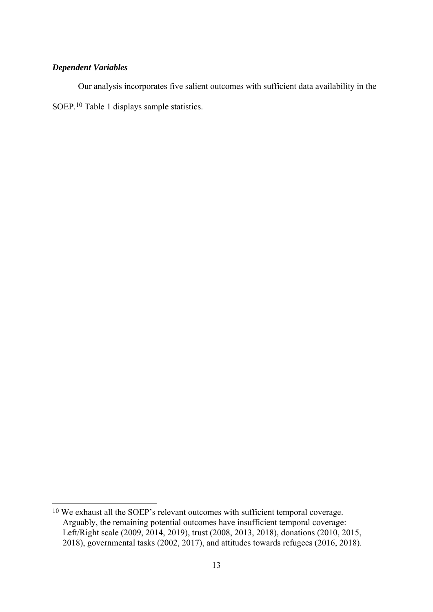# *Dependent Variables*

1

 Our analysis incorporates five salient outcomes with sufficient data availability in the SOEP.10 Table 1 displays sample statistics.

<sup>10</sup> We exhaust all the SOEP's relevant outcomes with sufficient temporal coverage. Arguably, the remaining potential outcomes have insufficient temporal coverage: Left/Right scale (2009, 2014, 2019), trust (2008, 2013, 2018), donations (2010, 2015, 2018), governmental tasks (2002, 2017), and attitudes towards refugees (2016, 2018).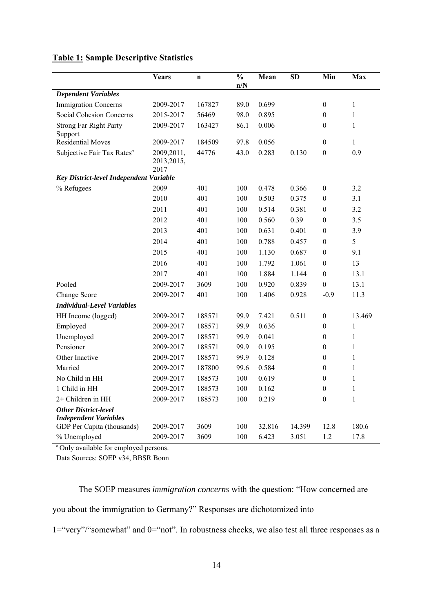|  |  | <b>Table 1: Sample Descriptive Statistics</b> |
|--|--|-----------------------------------------------|
|  |  |                                               |

|                                         | Years                              | $\mathbf n$ | $\frac{0}{0}$<br>n/N | Mean   | <b>SD</b> | Min              | Max          |
|-----------------------------------------|------------------------------------|-------------|----------------------|--------|-----------|------------------|--------------|
| <b>Dependent Variables</b>              |                                    |             |                      |        |           |                  |              |
| <b>Immigration Concerns</b>             | 2009-2017                          | 167827      | 89.0                 | 0.699  |           | $\boldsymbol{0}$ | $\mathbf{1}$ |
| Social Cohesion Concerns                | 2015-2017                          | 56469       | 98.0                 | 0.895  |           | $\boldsymbol{0}$ | 1            |
| <b>Strong Far Right Party</b>           | 2009-2017                          | 163427      | 86.1                 | 0.006  |           | $\boldsymbol{0}$ | $\mathbf{1}$ |
| Support                                 |                                    |             |                      |        |           |                  |              |
| <b>Residential Moves</b>                | 2009-2017                          | 184509      | 97.8                 | 0.056  |           | $\boldsymbol{0}$ | $\mathbf{1}$ |
| Subjective Fair Tax Rates <sup>a</sup>  | 2009, 2011,<br>2013, 2015,<br>2017 | 44776       | 43.0                 | 0.283  | 0.130     | $\boldsymbol{0}$ | 0.9          |
| Key District-level Independent Variable |                                    |             |                      |        |           |                  |              |
| % Refugees                              | 2009                               | 401         | 100                  | 0.478  | 0.366     | $\boldsymbol{0}$ | 3.2          |
|                                         | 2010                               | 401         | 100                  | 0.503  | 0.375     | $\boldsymbol{0}$ | 3.1          |
|                                         | 2011                               | 401         | 100                  | 0.514  | 0.381     | 0                | 3.2          |
|                                         | 2012                               | 401         | 100                  | 0.560  | 0.39      | $\boldsymbol{0}$ | 3.5          |
|                                         | 2013                               | 401         | 100                  | 0.631  | 0.401     | $\boldsymbol{0}$ | 3.9          |
|                                         | 2014                               | 401         | 100                  | 0.788  | 0.457     | 0                | 5            |
|                                         | 2015                               | 401         | 100                  | 1.130  | 0.687     | $\boldsymbol{0}$ | 9.1          |
|                                         | 2016                               | 401         | 100                  | 1.792  | 1.061     | $\boldsymbol{0}$ | 13           |
|                                         | 2017                               | 401         | 100                  | 1.884  | 1.144     | $\boldsymbol{0}$ | 13.1         |
| Pooled                                  | 2009-2017                          | 3609        | 100                  | 0.920  | 0.839     | $\boldsymbol{0}$ | 13.1         |
| Change Score                            | 2009-2017                          | 401         | 100                  | 1.406  | 0.928     | $-0.9$           | 11.3         |
| <b>Individual-Level Variables</b>       |                                    |             |                      |        |           |                  |              |
| HH Income (logged)                      | 2009-2017                          | 188571      | 99.9                 | 7.421  | 0.511     | $\boldsymbol{0}$ | 13.469       |
| Employed                                | 2009-2017                          | 188571      | 99.9                 | 0.636  |           | $\boldsymbol{0}$ | 1            |
| Unemployed                              | 2009-2017                          | 188571      | 99.9                 | 0.041  |           | $\boldsymbol{0}$ | 1            |
| Pensioner                               | 2009-2017                          | 188571      | 99.9                 | 0.195  |           | $\boldsymbol{0}$ | $\mathbf{1}$ |
| Other Inactive                          | 2009-2017                          | 188571      | 99.9                 | 0.128  |           | $\boldsymbol{0}$ | 1            |
| Married                                 | 2009-2017                          | 187800      | 99.6                 | 0.584  |           | $\boldsymbol{0}$ | $\mathbf{1}$ |
| No Child in HH                          | 2009-2017                          | 188573      | 100                  | 0.619  |           | 0                | 1            |
| 1 Child in HH                           | 2009-2017                          | 188573      | 100                  | 0.162  |           | $\boldsymbol{0}$ | $\mathbf{1}$ |
| 2+ Children in HH                       | 2009-2017                          | 188573      | 100                  | 0.219  |           | $\boldsymbol{0}$ | 1            |
| <b>Other District-level</b>             |                                    |             |                      |        |           |                  |              |
| <b>Independent Variables</b>            |                                    |             |                      |        |           |                  |              |
| GDP Per Capita (thousands)              | 2009-2017                          | 3609        | 100                  | 32.816 | 14.399    | 12.8             | 180.6        |
| % Unemployed                            | 2009-2017                          | 3609        | 100                  | 6.423  | 3.051     | 1.2              | 17.8         |

<sup>a</sup> Only available for employed persons.

Data Sources: SOEP v34, BBSR Bonn

The SOEP measures *immigration concerns* with the question: "How concerned are you about the immigration to Germany?" Responses are dichotomized into

1="very"/"somewhat" and 0="not". In robustness checks, we also test all three responses as a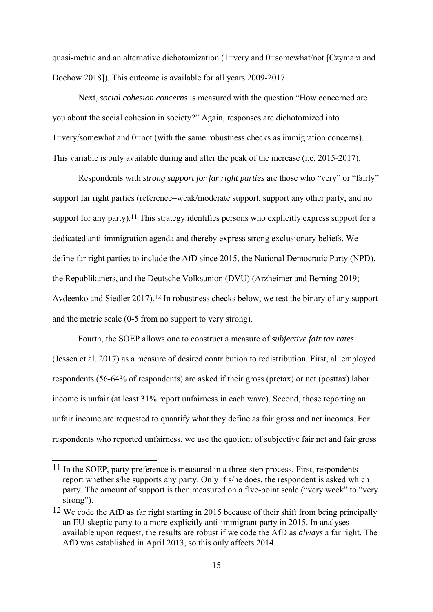quasi-metric and an alternative dichotomization (1=very and 0=somewhat/not [Czymara and Dochow 2018]). This outcome is available for all years 2009-2017.

Next, *social cohesion concerns* is measured with the question "How concerned are you about the social cohesion in society?" Again, responses are dichotomized into 1=very/somewhat and 0=not (with the same robustness checks as immigration concerns). This variable is only available during and after the peak of the increase (i.e. 2015-2017).

Respondents with *strong support for far right parties* are those who "very" or "fairly" support far right parties (reference=weak/moderate support, support any other party, and no support for any party).<sup>11</sup> This strategy identifies persons who explicitly express support for a dedicated anti-immigration agenda and thereby express strong exclusionary beliefs. We define far right parties to include the AfD since 2015, the National Democratic Party (NPD), the Republikaners, and the Deutsche Volksunion (DVU) (Arzheimer and Berning 2019; Avdeenko and Siedler 2017).<sup>12</sup> In robustness checks below, we test the binary of any support and the metric scale (0-5 from no support to very strong).

 Fourth, the SOEP allows one to construct a measure of *subjective fair tax rates* (Jessen et al. 2017) as a measure of desired contribution to redistribution. First, all employed respondents (56-64% of respondents) are asked if their gross (pretax) or net (posttax) labor income is unfair (at least 31% report unfairness in each wave). Second, those reporting an unfair income are requested to quantify what they define as fair gross and net incomes. For respondents who reported unfairness, we use the quotient of subjective fair net and fair gross

<sup>&</sup>lt;sup>11</sup> In the SOEP, party preference is measured in a three-step process. First, respondents report whether s/he supports any party. Only if s/he does, the respondent is asked which party. The amount of support is then measured on a five-point scale ("very week" to "very strong").

<sup>&</sup>lt;sup>12</sup> We code the AfD as far right starting in 2015 because of their shift from being principally an EU-skeptic party to a more explicitly anti-immigrant party in 2015. In analyses available upon request, the results are robust if we code the AfD as *always* a far right. The AfD was established in April 2013, so this only affects 2014.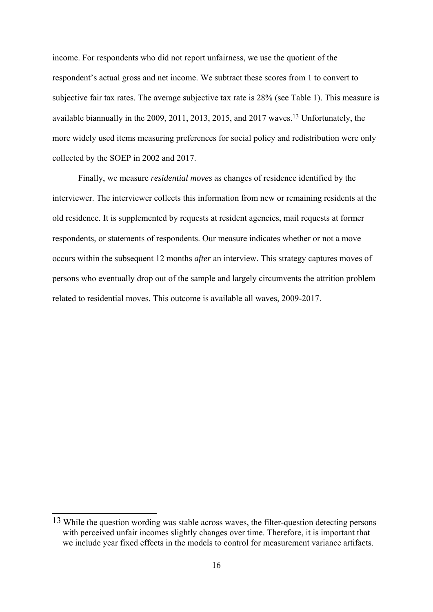income. For respondents who did not report unfairness, we use the quotient of the respondent's actual gross and net income. We subtract these scores from 1 to convert to subjective fair tax rates. The average subjective tax rate is 28% (see Table 1). This measure is available biannually in the 2009, 2011, 2013, 2015, and 2017 waves.13 Unfortunately, the more widely used items measuring preferences for social policy and redistribution were only collected by the SOEP in 2002 and 2017.

 Finally, we measure *residential moves* as changes of residence identified by the interviewer. The interviewer collects this information from new or remaining residents at the old residence. It is supplemented by requests at resident agencies, mail requests at former respondents, or statements of respondents. Our measure indicates whether or not a move occurs within the subsequent 12 months *after* an interview. This strategy captures moves of persons who eventually drop out of the sample and largely circumvents the attrition problem related to residential moves. This outcome is available all waves, 2009-2017.

<sup>&</sup>lt;sup>13</sup> While the question wording was stable across waves, the filter-question detecting persons with perceived unfair incomes slightly changes over time. Therefore, it is important that we include year fixed effects in the models to control for measurement variance artifacts.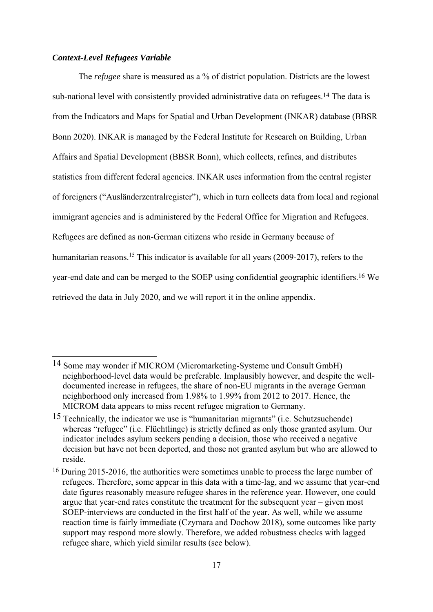#### *Context-Level Refugees Variable*

1

The *refugee* share is measured as a % of district population. Districts are the lowest sub-national level with consistently provided administrative data on refugees.<sup>14</sup> The data is from the Indicators and Maps for Spatial and Urban Development (INKAR) database (BBSR Bonn 2020). INKAR is managed by the Federal Institute for Research on Building, Urban Affairs and Spatial Development (BBSR Bonn), which collects, refines, and distributes statistics from different federal agencies. INKAR uses information from the central register of foreigners ("Ausländerzentralregister"), which in turn collects data from local and regional immigrant agencies and is administered by the Federal Office for Migration and Refugees. Refugees are defined as non-German citizens who reside in Germany because of humanitarian reasons.<sup>15</sup> This indicator is available for all years (2009-2017), refers to the year-end date and can be merged to the SOEP using confidential geographic identifiers.16 We retrieved the data in July 2020, and we will report it in the online appendix.

<sup>14</sup> Some may wonder if MICROM (Micromarketing-Systeme und Consult GmbH) neighborhood-level data would be preferable. Implausibly however, and despite the welldocumented increase in refugees, the share of non-EU migrants in the average German neighborhood only increased from 1.98% to 1.99% from 2012 to 2017. Hence, the MICROM data appears to miss recent refugee migration to Germany.

<sup>15</sup> Technically, the indicator we use is "humanitarian migrants" (i.e. Schutzsuchende) whereas "refugee" (i.e. Flüchtlinge) is strictly defined as only those granted asylum. Our indicator includes asylum seekers pending a decision, those who received a negative decision but have not been deported, and those not granted asylum but who are allowed to reside.

<sup>16</sup> During 2015-2016, the authorities were sometimes unable to process the large number of refugees. Therefore, some appear in this data with a time-lag, and we assume that year-end date figures reasonably measure refugee shares in the reference year. However, one could argue that year-end rates constitute the treatment for the subsequent year – given most SOEP-interviews are conducted in the first half of the year. As well, while we assume reaction time is fairly immediate (Czymara and Dochow 2018), some outcomes like party support may respond more slowly. Therefore, we added robustness checks with lagged refugee share, which yield similar results (see below).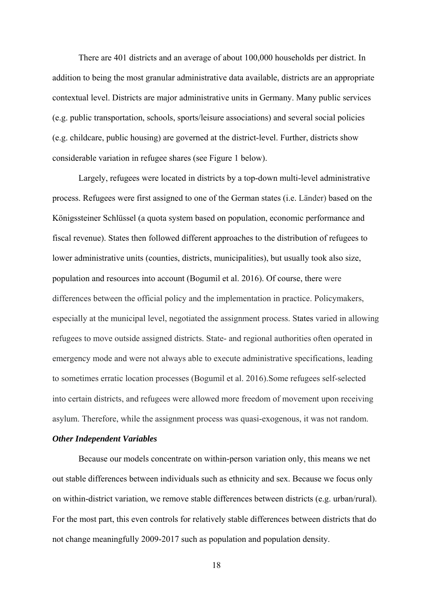There are 401 districts and an average of about 100,000 households per district. In addition to being the most granular administrative data available, districts are an appropriate contextual level. Districts are major administrative units in Germany. Many public services (e.g. public transportation, schools, sports/leisure associations) and several social policies (e.g. childcare, public housing) are governed at the district-level. Further, districts show considerable variation in refugee shares (see Figure 1 below).

Largely, refugees were located in districts by a top-down multi-level administrative process. Refugees were first assigned to one of the German states (i.e. Länder) based on the Königssteiner Schlüssel (a quota system based on population, economic performance and fiscal revenue). States then followed different approaches to the distribution of refugees to lower administrative units (counties, districts, municipalities), but usually took also size, population and resources into account (Bogumil et al. 2016). Of course, there were differences between the official policy and the implementation in practice. Policymakers, especially at the municipal level, negotiated the assignment process. States varied in allowing refugees to move outside assigned districts. State- and regional authorities often operated in emergency mode and were not always able to execute administrative specifications, leading to sometimes erratic location processes (Bogumil et al. 2016).Some refugees self-selected into certain districts, and refugees were allowed more freedom of movement upon receiving asylum. Therefore, while the assignment process was quasi-exogenous, it was not random.

#### *Other Independent Variables*

Because our models concentrate on within-person variation only, this means we net out stable differences between individuals such as ethnicity and sex. Because we focus only on within-district variation, we remove stable differences between districts (e.g. urban/rural). For the most part, this even controls for relatively stable differences between districts that do not change meaningfully 2009-2017 such as population and population density.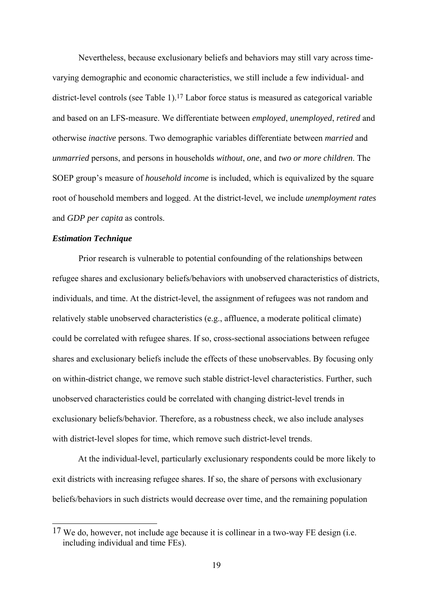Nevertheless, because exclusionary beliefs and behaviors may still vary across timevarying demographic and economic characteristics, we still include a few individual- and district-level controls (see Table 1).17 Labor force status is measured as categorical variable and based on an LFS-measure. We differentiate between *employed*, *unemployed*, *retired* and otherwise *inactive* persons. Two demographic variables differentiate between *married* and *unmarried* persons, and persons in households *without*, *one*, and *two or more children*. The SOEP group's measure of *household income* is included, which is equivalized by the square root of household members and logged. At the district-level, we include *unemployment rates* and *GDP per capita* as controls.

#### *Estimation Technique*

<u>.</u>

Prior research is vulnerable to potential confounding of the relationships between refugee shares and exclusionary beliefs/behaviors with unobserved characteristics of districts, individuals, and time. At the district-level, the assignment of refugees was not random and relatively stable unobserved characteristics (e.g., affluence, a moderate political climate) could be correlated with refugee shares. If so, cross-sectional associations between refugee shares and exclusionary beliefs include the effects of these unobservables. By focusing only on within-district change, we remove such stable district-level characteristics. Further, such unobserved characteristics could be correlated with changing district-level trends in exclusionary beliefs/behavior. Therefore, as a robustness check, we also include analyses with district-level slopes for time, which remove such district-level trends.

At the individual-level, particularly exclusionary respondents could be more likely to exit districts with increasing refugee shares. If so, the share of persons with exclusionary beliefs/behaviors in such districts would decrease over time, and the remaining population

<sup>&</sup>lt;sup>17</sup> We do, however, not include age because it is collinear in a two-way FE design (i.e. including individual and time FEs).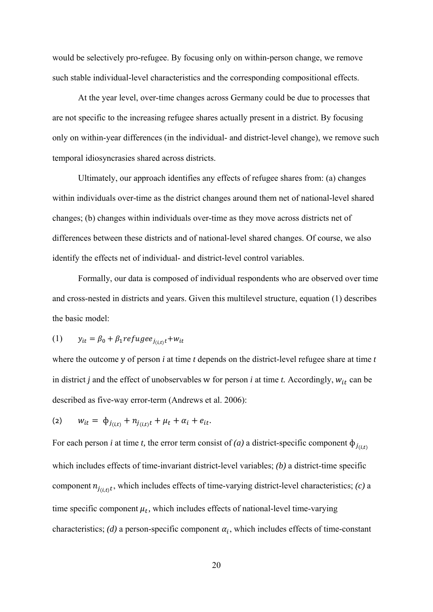would be selectively pro-refugee. By focusing only on within-person change, we remove such stable individual-level characteristics and the corresponding compositional effects.

At the year level, over-time changes across Germany could be due to processes that are not specific to the increasing refugee shares actually present in a district. By focusing only on within-year differences (in the individual- and district-level change), we remove such temporal idiosyncrasies shared across districts.

Ultimately, our approach identifies any effects of refugee shares from: (a) changes within individuals over-time as the district changes around them net of national-level shared changes; (b) changes within individuals over-time as they move across districts net of differences between these districts and of national-level shared changes. Of course, we also identify the effects net of individual- and district-level control variables.

Formally, our data is composed of individual respondents who are observed over time and cross-nested in districts and years. Given this multilevel structure, equation (1) describes the basic model:

$$
(1) \qquad y_{it} = \beta_0 + \beta_1 refuge_{i_{(i,t)}t} + w_{it}
$$

where the outcome y of person *i* at time *t* depends on the district-level refugee share at time *t*  in district *j* and the effect of unobservables w for person *i* at time *t*. Accordingly,  $w_{it}$  can be described as five-way error-term (Andrews et al. 2006):

$$
(2) \t w_{it} = \t \Phi_{j_{(i,t)}} + n_{j_{(i,t)}t} + \mu_t + \alpha_i + e_{it}.
$$

For each person *i* at time *t*, the error term consist of *(a)* a district-specific component  $\phi_{i(r)}$ which includes effects of time-invariant district-level variables; *(b)* a district-time specific component  $n_{j(i,t)}$ , which includes effects of time-varying district-level characteristics; *(c)* a time specific component  $\mu_t$ , which includes effects of national-level time-varying characteristics; *(d)* a person-specific component  $\alpha_i$ , which includes effects of time-constant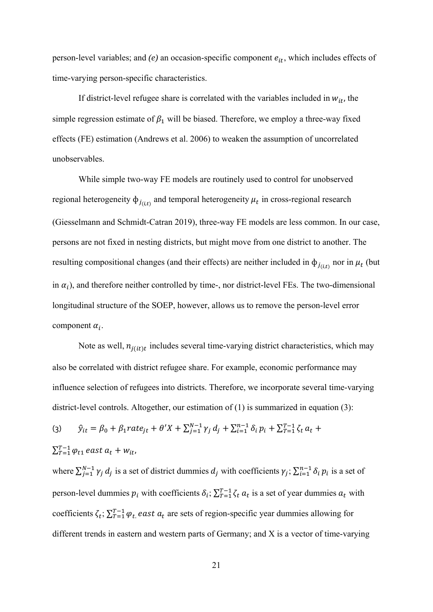person-level variables; and  $(e)$  an occasion-specific component  $e_{it}$ , which includes effects of time-varying person-specific characteristics.

If district-level refugee share is correlated with the variables included in  $w_{it}$ , the simple regression estimate of  $\beta_1$  will be biased. Therefore, we employ a three-way fixed effects (FE) estimation (Andrews et al. 2006) to weaken the assumption of uncorrelated unobservables.

While simple two-way FE models are routinely used to control for unobserved regional heterogeneity  $\phi_{j(t)}$  and temporal heterogeneity  $\mu_t$  in cross-regional research (Giesselmann and Schmidt-Catran 2019), three-way FE models are less common. In our case, persons are not fixed in nesting districts, but might move from one district to another. The resulting compositional changes (and their effects) are neither included in  $\phi_{i(t,t)}$  nor in  $\mu_t$  (but in  $\alpha_i$ ), and therefore neither controlled by time-, nor district-level FEs. The two-dimensional longitudinal structure of the SOEP, however, allows us to remove the person-level error component  $\alpha_i$ .

Note as well,  $n_{i(it)t}$  includes several time-varying district characteristics, which may also be correlated with district refugee share. For example, economic performance may influence selection of refugees into districts. Therefore, we incorporate several time-varying district-level controls. Altogether, our estimation of (1) is summarized in equation (3):

(3) 
$$
\hat{y}_{it} = \beta_0 + \beta_1 rate_{jt} + \theta' X + \sum_{j=1}^{N-1} \gamma_j d_j + \sum_{i=1}^{N-1} \delta_i p_i + \sum_{T=1}^{T-1} \zeta_t a_t + \sum_{T=1}^{T-1} \varphi_{t1} \text{ east } a_t + w_{it},
$$

where  $\sum_{j=1}^{N-1} \gamma_j d_j$  is a set of district dummies  $d_j$  with coefficients  $\gamma_j$ ;  $\sum_{i=1}^{n-1} \delta_i p_i$  is a set of person-level dummies  $p_i$  with coefficients  $\delta_i$ ;  $\sum_{T=1}^{T-1} \zeta_t a_t$  is a set of year dummies  $a_t$  with coefficients  $\zeta_t$ ;  $\sum_{T=1}^{T-1} \varphi_t$  east  $a_t$  are sets of region-specific year dummies allowing for different trends in eastern and western parts of Germany; and X is a vector of time-varying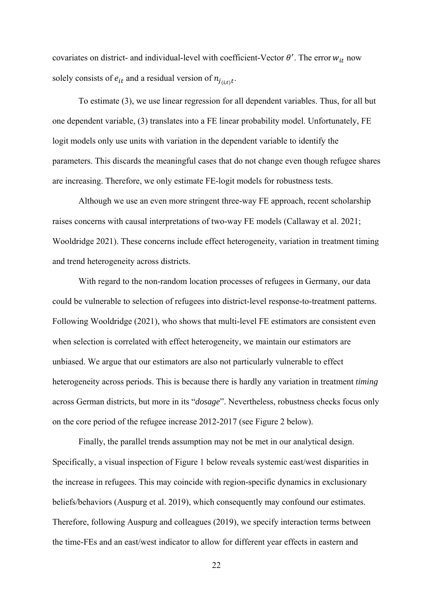covariates on district- and individual-level with coefficient-Vector  $\theta'$ . The error  $w_{it}$  now solely consists of  $e_{it}$  and a residual version of  $n_{j(i,t)}$ .

To estimate (3), we use linear regression for all dependent variables. Thus, for all but one dependent variable, (3) translates into a FE linear probability model. Unfortunately, FE logit models only use units with variation in the dependent variable to identify the parameters. This discards the meaningful cases that do not change even though refugee shares are increasing. Therefore, we only estimate FE-logit models for robustness tests.

Although we use an even more stringent three-way FE approach, recent scholarship raises concerns with causal interpretations of two-way FE models (Callaway et al. 2021; Wooldridge 2021). These concerns include effect heterogeneity, variation in treatment timing and trend heterogeneity across districts.

With regard to the non-random location processes of refugees in Germany, our data could be vulnerable to selection of refugees into district-level response-to-treatment patterns. Following Wooldridge (2021), who shows that multi-level FE estimators are consistent even when selection is correlated with effect heterogeneity, we maintain our estimators are unbiased. We argue that our estimators are also not particularly vulnerable to effect heterogeneity across periods. This is because there is hardly any variation in treatment *timing* across German districts, but more in its "*dosage*". Nevertheless, robustness checks focus only on the core period of the refugee increase 2012-2017 (see Figure 2 below).

Finally, the parallel trends assumption may not be met in our analytical design. Specifically, a visual inspection of Figure 1 below reveals systemic east/west disparities in the increase in refugees. This may coincide with region-specific dynamics in exclusionary beliefs/behaviors (Auspurg et al. 2019), which consequently may confound our estimates. Therefore, following Auspurg and colleagues (2019), we specify interaction terms between the time-FEs and an east/west indicator to allow for different year effects in eastern and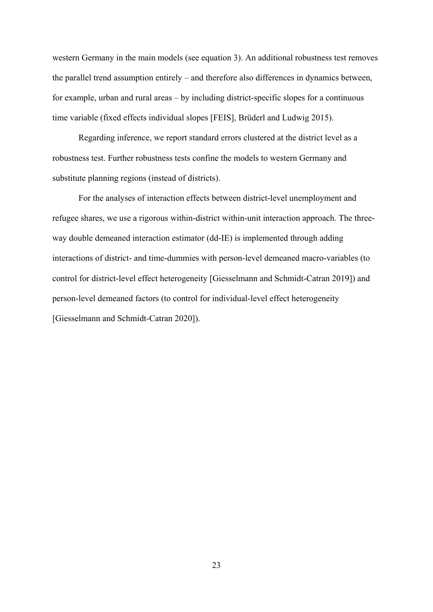western Germany in the main models (see equation 3). An additional robustness test removes the parallel trend assumption entirely – and therefore also differences in dynamics between, for example, urban and rural areas – by including district-specific slopes for a continuous time variable (fixed effects individual slopes [FEIS], Brüderl and Ludwig 2015).

Regarding inference, we report standard errors clustered at the district level as a robustness test. Further robustness tests confine the models to western Germany and substitute planning regions (instead of districts).

For the analyses of interaction effects between district-level unemployment and refugee shares, we use a rigorous within-district within-unit interaction approach. The threeway double demeaned interaction estimator (dd-IE) is implemented through adding interactions of district- and time-dummies with person-level demeaned macro-variables (to control for district-level effect heterogeneity [Giesselmann and Schmidt-Catran 2019]) and person-level demeaned factors (to control for individual-level effect heterogeneity [Giesselmann and Schmidt-Catran 2020]).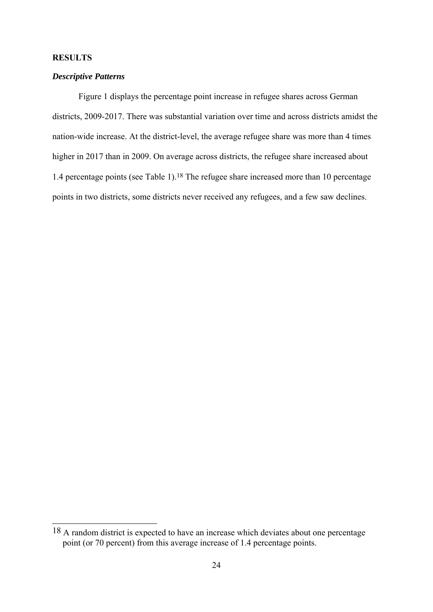# **RESULTS**

<u>.</u>

# *Descriptive Patterns*

Figure 1 displays the percentage point increase in refugee shares across German districts, 2009-2017. There was substantial variation over time and across districts amidst the nation-wide increase. At the district-level, the average refugee share was more than 4 times higher in 2017 than in 2009. On average across districts, the refugee share increased about 1.4 percentage points (see Table 1).18 The refugee share increased more than 10 percentage points in two districts, some districts never received any refugees, and a few saw declines.

<sup>18</sup> A random district is expected to have an increase which deviates about one percentage point (or 70 percent) from this average increase of 1.4 percentage points.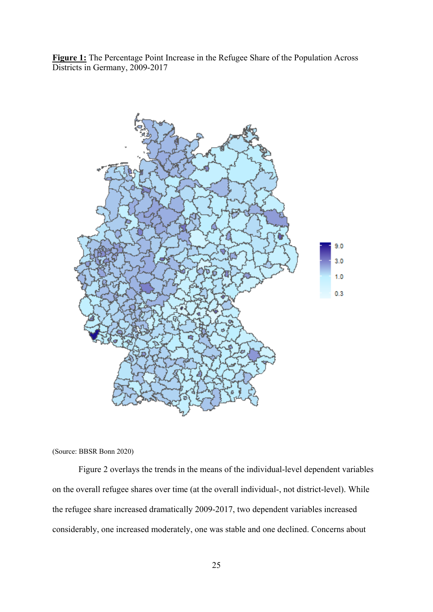**Figure 1:** The Percentage Point Increase in the Refugee Share of the Population Across Districts in Germany, 2009-2017



(Source: BBSR Bonn 2020)

Figure 2 overlays the trends in the means of the individual-level dependent variables on the overall refugee shares over time (at the overall individual-, not district-level). While the refugee share increased dramatically 2009-2017, two dependent variables increased considerably, one increased moderately, one was stable and one declined. Concerns about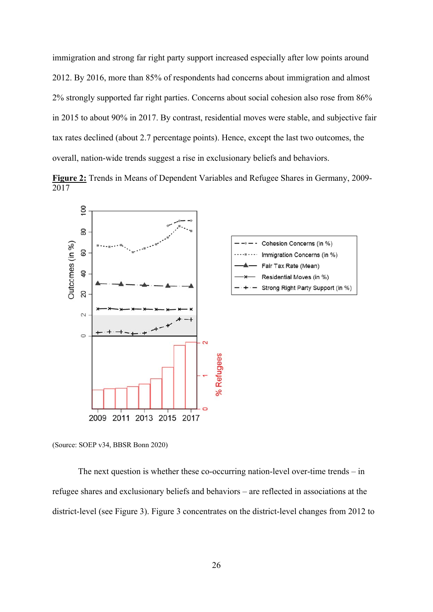immigration and strong far right party support increased especially after low points around 2012. By 2016, more than 85% of respondents had concerns about immigration and almost 2% strongly supported far right parties. Concerns about social cohesion also rose from 86% in 2015 to about 90% in 2017. By contrast, residential moves were stable, and subjective fair tax rates declined (about 2.7 percentage points). Hence, except the last two outcomes, the overall, nation-wide trends suggest a rise in exclusionary beliefs and behaviors.

**Figure 2:** Trends in Means of Dependent Variables and Refugee Shares in Germany, 2009- 2017



(Source: SOEP v34, BBSR Bonn 2020)

 The next question is whether these co-occurring nation-level over-time trends – in refugee shares and exclusionary beliefs and behaviors – are reflected in associations at the district-level (see Figure 3). Figure 3 concentrates on the district-level changes from 2012 to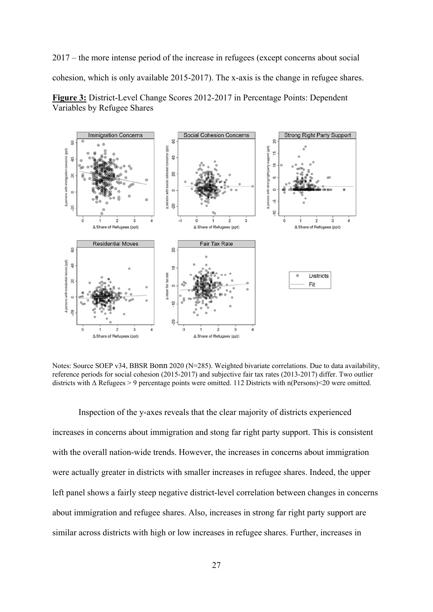2017 – the more intense period of the increase in refugees (except concerns about social cohesion, which is only available 2015-2017). The x-axis is the change in refugee shares. **Figure 3:** District-Level Change Scores 2012-2017 in Percentage Points: Dependent





Notes: Source SOEP v34, BBSR Bonn 2020 (N=285). Weighted bivariate correlations. Due to data availability, reference periods for social cohesion (2015-2017) and subjective fair tax rates (2013-2017) differ. Two outlier districts with Δ Refugees > 9 percentage points were omitted. 112 Districts with n(Persons)<20 were omitted.

Inspection of the y-axes reveals that the clear majority of districts experienced increases in concerns about immigration and stong far right party support. This is consistent with the overall nation-wide trends. However, the increases in concerns about immigration were actually greater in districts with smaller increases in refugee shares. Indeed, the upper left panel shows a fairly steep negative district-level correlation between changes in concerns about immigration and refugee shares. Also, increases in strong far right party support are similar across districts with high or low increases in refugee shares. Further, increases in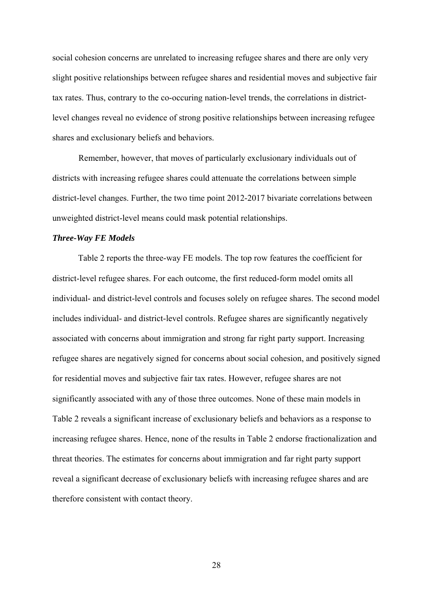social cohesion concerns are unrelated to increasing refugee shares and there are only very slight positive relationships between refugee shares and residential moves and subjective fair tax rates. Thus, contrary to the co-occuring nation-level trends, the correlations in districtlevel changes reveal no evidence of strong positive relationships between increasing refugee shares and exclusionary beliefs and behaviors.

Remember, however, that moves of particularly exclusionary individuals out of districts with increasing refugee shares could attenuate the correlations between simple district-level changes. Further, the two time point 2012-2017 bivariate correlations between unweighted district-level means could mask potential relationships.

#### *Three-Way FE Models*

 Table 2 reports the three-way FE models. The top row features the coefficient for district-level refugee shares. For each outcome, the first reduced-form model omits all individual- and district-level controls and focuses solely on refugee shares. The second model includes individual- and district-level controls. Refugee shares are significantly negatively associated with concerns about immigration and strong far right party support. Increasing refugee shares are negatively signed for concerns about social cohesion, and positively signed for residential moves and subjective fair tax rates. However, refugee shares are not significantly associated with any of those three outcomes. None of these main models in Table 2 reveals a significant increase of exclusionary beliefs and behaviors as a response to increasing refugee shares. Hence, none of the results in Table 2 endorse fractionalization and threat theories. The estimates for concerns about immigration and far right party support reveal a significant decrease of exclusionary beliefs with increasing refugee shares and are therefore consistent with contact theory.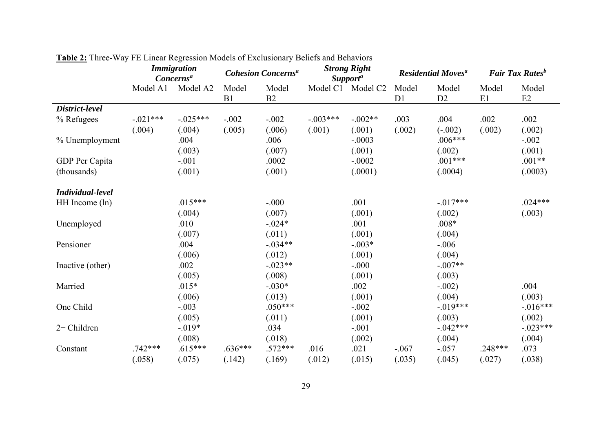|                  |            | <b>Immigration</b><br>Concerns <sup>a</sup> | <b>Cohesion Concerns<sup>a</sup></b> |             | <b>Strong Right</b><br><b>Supporta</b> | <b>Residential Moves<sup>a</sup></b> |                         |                         | <b>Fair Tax Rates</b> <sup>b</sup> |             |
|------------------|------------|---------------------------------------------|--------------------------------------|-------------|----------------------------------------|--------------------------------------|-------------------------|-------------------------|------------------------------------|-------------|
|                  | Model A1   | Model A2                                    | Model<br>B1                          | Model<br>B2 |                                        | Model C1 Model C2                    | Model<br>D <sub>1</sub> | Model<br>D <sub>2</sub> | Model<br>E1                        | Model<br>E2 |
| District-level   |            |                                             |                                      |             |                                        |                                      |                         |                         |                                    |             |
| % Refugees       | $-.021***$ | $-0.025***$                                 | $-.002$                              | $-.002$     | $-.003***$                             | $-.002**$                            | .003                    | .004                    | .002                               | .002        |
|                  | (.004)     | (.004)                                      | (.005)                               | (.006)      | (.001)                                 | (.001)                               | (.002)                  | $(-.002)$               | (.002)                             | (.002)      |
| % Unemployment   |            | .004                                        |                                      | .006        |                                        | $-.0003$                             |                         | $.006***$               |                                    | $-.002$     |
|                  |            | (.003)                                      |                                      | (.007)      |                                        | (.001)                               |                         | (.002)                  |                                    | (.001)      |
| GDP Per Capita   |            | $-.001$                                     |                                      | .0002       |                                        | $-.0002$                             |                         | $.001***$               |                                    | $.001**$    |
| (thousands)      |            | (.001)                                      |                                      | (.001)      |                                        | (.0001)                              |                         | (.0004)                 |                                    | (.0003)     |
| Individual-level |            |                                             |                                      |             |                                        |                                      |                         |                         |                                    |             |
| HH Income (ln)   |            | $.015***$                                   |                                      | $-.000$     |                                        | .001                                 |                         | $-.017***$              |                                    | $.024***$   |
|                  |            | (.004)                                      |                                      | (.007)      |                                        | (.001)                               |                         | (.002)                  |                                    | (.003)      |
| Unemployed       |            | .010                                        |                                      | $-.024*$    |                                        | .001                                 |                         | $.008*$                 |                                    |             |
|                  |            | (.007)                                      |                                      | (.011)      |                                        | (.001)                               |                         | (.004)                  |                                    |             |
| Pensioner        |            | .004                                        |                                      | $-.034**$   |                                        | $-.003*$                             |                         | $-.006$                 |                                    |             |
|                  |            | (.006)                                      |                                      | (.012)      |                                        | (.001)                               |                         | (.004)                  |                                    |             |
| Inactive (other) |            | .002                                        |                                      | $-.023**$   |                                        | $-.000$                              |                         | $-.007**$               |                                    |             |
|                  |            | (.005)                                      |                                      | (.008)      |                                        | (.001)                               |                         | (.003)                  |                                    |             |
| Married          |            | $.015*$                                     |                                      | $-.030*$    |                                        | .002                                 |                         | $-.002)$                |                                    | .004        |
|                  |            | (.006)                                      |                                      | (.013)      |                                        | (.001)                               |                         | (.004)                  |                                    | (.003)      |
| One Child        |            | $-.003$                                     |                                      | $.050***$   |                                        | $-.002$                              |                         | $-.019***$              |                                    | $-.016***$  |
|                  |            | (.005)                                      |                                      | (.011)      |                                        | (.001)                               |                         | (.003)                  |                                    | (.002)      |
| 2+ Children      |            | $-.019*$                                    |                                      | .034        |                                        | $-.001$                              |                         | $-.042***$              |                                    | $-.023***$  |
|                  |            | (.008)                                      |                                      | (.018)      |                                        | (.002)                               |                         | (.004)                  |                                    | (.004)      |
| Constant         | $.742***$  | $.615***$                                   | $.636***$                            | $.572***$   | .016                                   | .021                                 | $-.067$                 | $-.057$                 | $.248***$                          | .073        |
|                  | (.058)     | (.075)                                      | (.142)                               | (.169)      | (.012)                                 | (.015)                               | (.035)                  | (.045)                  | (.027)                             | (.038)      |

**Table 2:** Three-Way FE Linear Regression Models of Exclusionary Beliefs and Behaviors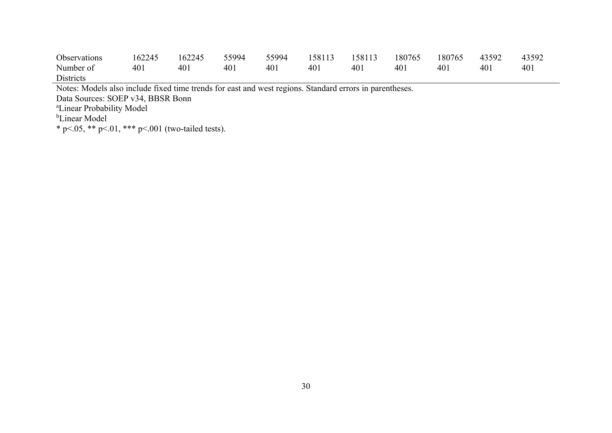| Observations     | 162245 | 162245 | 55994 | 55994 | 158113 158113 |     | 180765 | 180765 43592 |     | 43592 |
|------------------|--------|--------|-------|-------|---------------|-----|--------|--------------|-----|-------|
| Number of        | 401    | 401    | 401   | 401   | 401           | 401 | 401    | 401          | 401 | 401   |
| <b>Districts</b> |        |        |       |       |               |     |        |              |     |       |

Notes: Models also include fixed time trends for east and west regions. Standard errors in parentheses.

Data Sources: SOEP v34, BBSR Bonn

<sup>a</sup>Linear Probability Model

<sup>b</sup>Linear Model

\* p<.05, \*\* p<.01, \*\*\* p<.001 (two-tailed tests).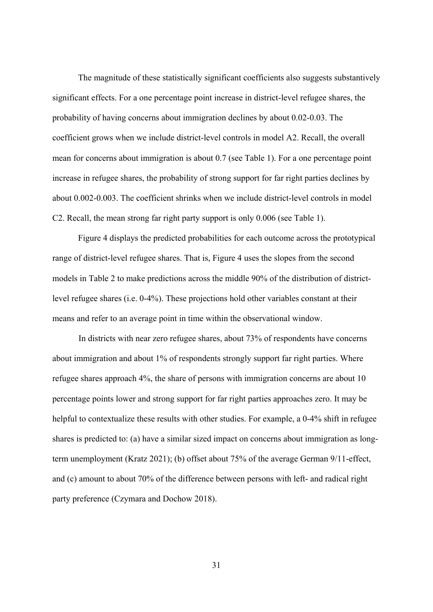The magnitude of these statistically significant coefficients also suggests substantively significant effects. For a one percentage point increase in district-level refugee shares, the probability of having concerns about immigration declines by about 0.02-0.03. The coefficient grows when we include district-level controls in model A2. Recall, the overall mean for concerns about immigration is about 0.7 (see Table 1). For a one percentage point increase in refugee shares, the probability of strong support for far right parties declines by about 0.002-0.003. The coefficient shrinks when we include district-level controls in model C2. Recall, the mean strong far right party support is only 0.006 (see Table 1).

 Figure 4 displays the predicted probabilities for each outcome across the prototypical range of district-level refugee shares. That is, Figure 4 uses the slopes from the second models in Table 2 to make predictions across the middle 90% of the distribution of districtlevel refugee shares (i.e. 0-4%). These projections hold other variables constant at their means and refer to an average point in time within the observational window.

In districts with near zero refugee shares, about 73% of respondents have concerns about immigration and about 1% of respondents strongly support far right parties. Where refugee shares approach 4%, the share of persons with immigration concerns are about 10 percentage points lower and strong support for far right parties approaches zero. It may be helpful to contextualize these results with other studies. For example, a 0-4% shift in refugee shares is predicted to: (a) have a similar sized impact on concerns about immigration as longterm unemployment (Kratz 2021); (b) offset about 75% of the average German 9/11-effect, and (c) amount to about 70% of the difference between persons with left- and radical right party preference (Czymara and Dochow 2018).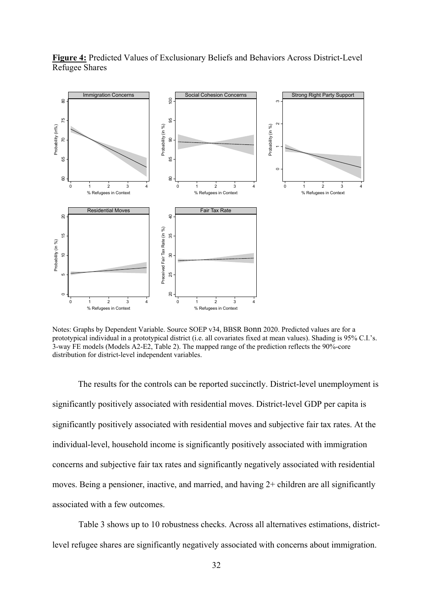

**Figure 4:** Predicted Values of Exclusionary Beliefs and Behaviors Across District-Level Refugee Shares

Notes: Graphs by Dependent Variable. Source SOEP v34, BBSR Bonn 2020. Predicted values are for a prototypical individual in a prototypical district (i.e. all covariates fixed at mean values). Shading is 95% C.I.'s. 3-way FE models (Models A2-E2, Table 2). The mapped range of the prediction reflects the 90%-core distribution for district-level independent variables.

 The results for the controls can be reported succinctly. District-level unemployment is significantly positively associated with residential moves. District-level GDP per capita is significantly positively associated with residential moves and subjective fair tax rates. At the individual-level, household income is significantly positively associated with immigration concerns and subjective fair tax rates and significantly negatively associated with residential moves. Being a pensioner, inactive, and married, and having 2+ children are all significantly associated with a few outcomes.

Table 3 shows up to 10 robustness checks. Across all alternatives estimations, district-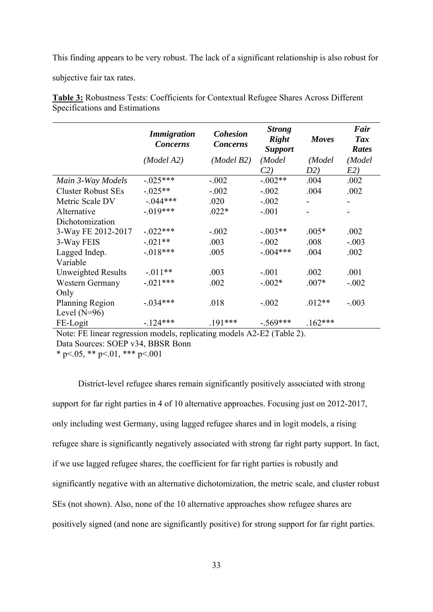This finding appears to be very robust. The lack of a significant relationship is also robust for

subjective fair tax rates.

**Table 3:** Robustness Tests: Coefficients for Contextual Refugee Shares Across Different Specifications and Estimations

|                           | <b>Immigration</b><br><b>Concerns</b> | <b>Cohesion</b><br><b>Concerns</b> | <b>Strong</b><br><b>Right</b><br><b>Support</b> | <b>Moves</b> | Fair<br><b>Tax</b><br>Rates |
|---------------------------|---------------------------------------|------------------------------------|-------------------------------------------------|--------------|-----------------------------|
|                           | (Model A2)                            | (Model B2)                         | (Model                                          | (Model       | (Model                      |
|                           |                                       |                                    | C2)                                             | D2)          | E2)                         |
| Main 3-Way Models         | $-.025***$                            | $-.002$                            | $-.002**$                                       | .004         | .002                        |
| <b>Cluster Robust SEs</b> | $-.025**$                             | $-.002$                            | $-.002$                                         | .004         | .002                        |
| Metric Scale DV           | $-.044***$                            | .020                               | $-.002$                                         |              |                             |
| Alternative               | $-.019***$                            | $.022*$                            | $-.001$                                         |              |                             |
| Dichotomization           |                                       |                                    |                                                 |              |                             |
| 3-Way FE 2012-2017        | $-.022***$                            | $-.002$                            | $-.003**$                                       | $.005*$      | .002                        |
| 3-Way FEIS                | $-.021**$                             | .003                               | $-.002$                                         | .008         | $-.003$                     |
| Lagged Indep.             | $-.018***$                            | .005                               | $-.004***$                                      | .004         | .002                        |
| Variable                  |                                       |                                    |                                                 |              |                             |
| Unweighted Results        | $-.011**$                             | .003                               | $-.001$                                         | .002         | .001                        |
| Western Germany           | $-.021***$                            | .002                               | $-.002*$                                        | $.007*$      | $-.002$                     |
| Only                      |                                       |                                    |                                                 |              |                             |
| Planning Region           | $-.034***$                            | .018                               | $-.002$                                         | $.012**$     | $-.003$                     |
| Level $(N=96)$            |                                       |                                    |                                                 |              |                             |
| FE-Logit                  | $-124***$                             | .191***                            | $-.569***$                                      | $.162***$    |                             |

Note: FE linear regression models, replicating models A2-E2 (Table 2). Data Sources: SOEP v34, BBSR Bonn

\* p $\leq$ .05, \*\* p $\leq$ .01, \*\*\* p $\leq$ .001

 District-level refugee shares remain significantly positively associated with strong support for far right parties in 4 of 10 alternative approaches. Focusing just on 2012-2017, only including west Germany, using lagged refugee shares and in logit models, a rising refugee share is significantly negatively associated with strong far right party support. In fact, if we use lagged refugee shares, the coefficient for far right parties is robustly and significantly negative with an alternative dichotomization, the metric scale, and cluster robust SEs (not shown). Also, none of the 10 alternative approaches show refugee shares are positively signed (and none are significantly positive) for strong support for far right parties.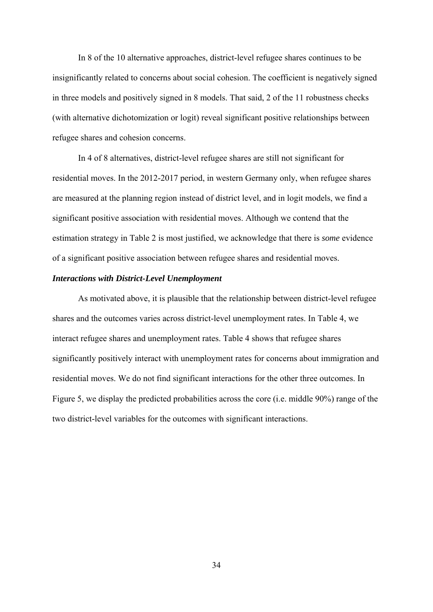In 8 of the 10 alternative approaches, district-level refugee shares continues to be insignificantly related to concerns about social cohesion. The coefficient is negatively signed in three models and positively signed in 8 models. That said, 2 of the 11 robustness checks (with alternative dichotomization or logit) reveal significant positive relationships between refugee shares and cohesion concerns.

 In 4 of 8 alternatives, district-level refugee shares are still not significant for residential moves. In the 2012-2017 period, in western Germany only, when refugee shares are measured at the planning region instead of district level, and in logit models, we find a significant positive association with residential moves. Although we contend that the estimation strategy in Table 2 is most justified, we acknowledge that there is *some* evidence of a significant positive association between refugee shares and residential moves.

# *Interactions with District-Level Unemployment*

 As motivated above, it is plausible that the relationship between district-level refugee shares and the outcomes varies across district-level unemployment rates. In Table 4, we interact refugee shares and unemployment rates. Table 4 shows that refugee shares significantly positively interact with unemployment rates for concerns about immigration and residential moves. We do not find significant interactions for the other three outcomes. In Figure 5, we display the predicted probabilities across the core (i.e. middle 90%) range of the two district-level variables for the outcomes with significant interactions.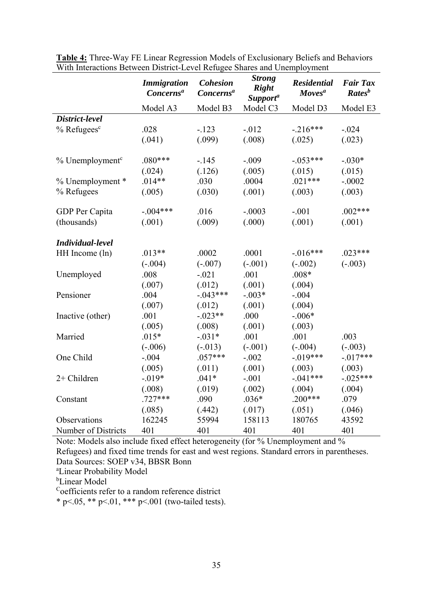|                             | <b>Immigration</b><br>Concerns <sup>a</sup> | <b>Cohesion</b><br>Concerns <sup>a</sup> | <b>Strong</b><br><b>Right</b><br>Support <sup>a</sup> | <b>Residential</b><br><b>Moves</b> <sup>a</sup> | <b>Fair Tax</b><br>Rates <sup>b</sup> |
|-----------------------------|---------------------------------------------|------------------------------------------|-------------------------------------------------------|-------------------------------------------------|---------------------------------------|
|                             | Model A3                                    | Model B3                                 | Model C3                                              | Model D3                                        | Model E3                              |
| District-level              |                                             |                                          |                                                       |                                                 |                                       |
| $%$ Refugees $c$            | .028                                        | $-.123$                                  | $-0.012$                                              | $-.216***$                                      | $-.024$                               |
|                             | (.041)                                      | (.099)                                   | (.008)                                                | (.025)                                          | (.023)                                |
| % Unemployment <sup>c</sup> | $.080***$                                   | $-.145$                                  | $-.009$                                               | $-.053***$                                      | $-.030*$                              |
|                             | (.024)                                      | (.126)                                   | (.005)                                                | (.015)                                          | (.015)                                |
| % Unemployment *            | $.014**$                                    | .030                                     | .0004                                                 | $.021***$                                       | $-.0002$                              |
| % Refugees                  | (.005)                                      | (.030)                                   | (.001)                                                | (.003)                                          | (.003)                                |
| GDP Per Capita              | $-.004***$                                  | .016                                     | $-.0003$                                              | $-.001$                                         | $.002***$                             |
| (thousands)                 | (.001)                                      | (.009)                                   | (.000)                                                | (.001)                                          | (.001)                                |
| Individual-level            |                                             |                                          |                                                       |                                                 |                                       |
| HH Income (ln)              | $.013**$                                    | .0002                                    | .0001                                                 | $-.016***$                                      | $.023***$                             |
|                             | $(-.004)$                                   | $(-.007)$                                | $(-.001)$                                             | $(-.002)$                                       | $(-.003)$                             |
| Unemployed                  | .008                                        | $-.021$                                  | .001                                                  | $.008*$                                         |                                       |
|                             | (.007)                                      | (.012)                                   | (.001)                                                | (.004)                                          |                                       |
| Pensioner                   | .004                                        | $-.043***$                               | $-.003*$                                              | $-.004$                                         |                                       |
|                             | (.007)                                      | (.012)                                   | (.001)                                                | (.004)                                          |                                       |
| Inactive (other)            | .001                                        | $-.023**$                                | .000                                                  | $-.006*$                                        |                                       |
|                             | (.005)                                      | (.008)                                   | (.001)                                                | (.003)                                          |                                       |
| Married                     | $.015*$                                     | $-.031*$                                 | .001                                                  | .001                                            | .003                                  |
|                             | $(-.006)$                                   | $(-.013)$                                | $(-.001)$                                             | $(-.004)$                                       | $(-.003)$                             |
| One Child                   | $-.004$                                     | $.057***$                                | $-.002$                                               | $-.019***$                                      | $-.017***$                            |
|                             | (.005)                                      | (.011)                                   | (.001)                                                | (.003)                                          | (.003)                                |
| 2+ Children                 | $-.019*$                                    | $.041*$                                  | $-.001$                                               | $-.041***$                                      | $-.025***$                            |
|                             | (.008)                                      | (.019)                                   | (.002)                                                | (.004)                                          | (.004)                                |
| Constant                    | $.727***$                                   | .090                                     | $.036*$                                               | $.200***$                                       | .079                                  |
|                             | (.085)                                      | (.442)                                   | (.017)                                                | (.051)                                          | (.046)                                |
| Observations                | 162245                                      | 55994                                    | 158113                                                | 180765                                          | 43592                                 |
| Number of Districts         | 401                                         | 401                                      | 401                                                   | 401                                             | 401                                   |

**Table 4:** Three-Way FE Linear Regression Models of Exclusionary Beliefs and Behaviors With Interactions Between District-Level Refugee Shares and Unemployment

Note: Models also include fixed effect heterogeneity (for % Unemployment and % Refugees) and fixed time trends for east and west regions. Standard errors in parentheses. Data Sources: SOEP v34, BBSR Bonn

a Linear Probability Model

b Linear Model

Coefficients refer to a random reference district

\* p <.05, \*\* p <.01, \*\*\* p <.001 (two-tailed tests).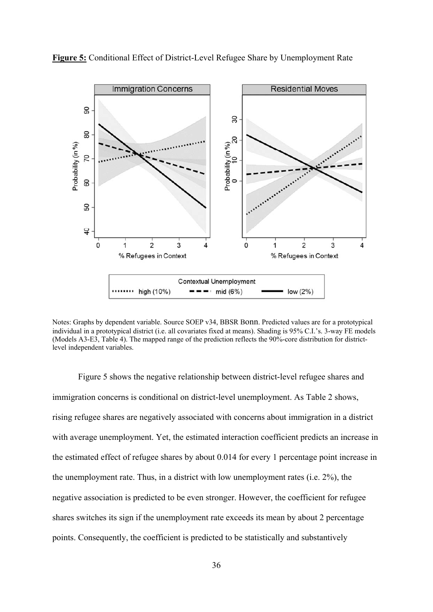

**Figure 5:** Conditional Effect of District-Level Refugee Share by Unemployment Rate

Notes: Graphs by dependent variable. Source SOEP v34, BBSR Bonn. Predicted values are for a prototypical individual in a prototypical district (i.e. all covariates fixed at means). Shading is 95% C.I.'s. 3-way FE models (Models A3-E3, Table 4). The mapped range of the prediction reflects the 90%-core distribution for districtlevel independent variables.

 Figure 5 shows the negative relationship between district-level refugee shares and immigration concerns is conditional on district-level unemployment. As Table 2 shows, rising refugee shares are negatively associated with concerns about immigration in a district with average unemployment. Yet, the estimated interaction coefficient predicts an increase in the estimated effect of refugee shares by about 0.014 for every 1 percentage point increase in the unemployment rate. Thus, in a district with low unemployment rates (i.e. 2%), the negative association is predicted to be even stronger. However, the coefficient for refugee shares switches its sign if the unemployment rate exceeds its mean by about 2 percentage points. Consequently, the coefficient is predicted to be statistically and substantively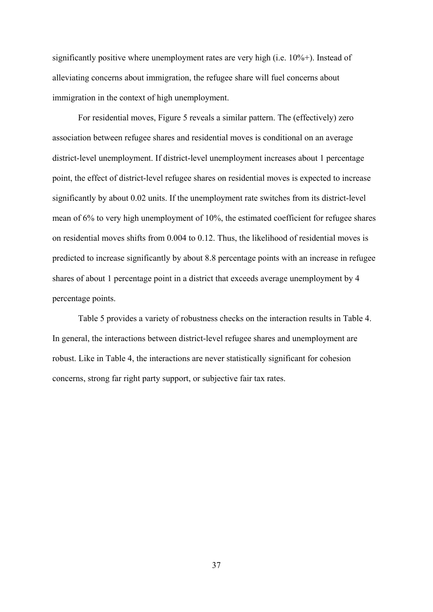significantly positive where unemployment rates are very high (i.e. 10%+). Instead of alleviating concerns about immigration, the refugee share will fuel concerns about immigration in the context of high unemployment.

 For residential moves, Figure 5 reveals a similar pattern. The (effectively) zero association between refugee shares and residential moves is conditional on an average district-level unemployment. If district-level unemployment increases about 1 percentage point, the effect of district-level refugee shares on residential moves is expected to increase significantly by about 0.02 units. If the unemployment rate switches from its district-level mean of 6% to very high unemployment of 10%, the estimated coefficient for refugee shares on residential moves shifts from 0.004 to 0.12. Thus, the likelihood of residential moves is predicted to increase significantly by about 8.8 percentage points with an increase in refugee shares of about 1 percentage point in a district that exceeds average unemployment by 4 percentage points.

 Table 5 provides a variety of robustness checks on the interaction results in Table 4. In general, the interactions between district-level refugee shares and unemployment are robust. Like in Table 4, the interactions are never statistically significant for cohesion concerns, strong far right party support, or subjective fair tax rates.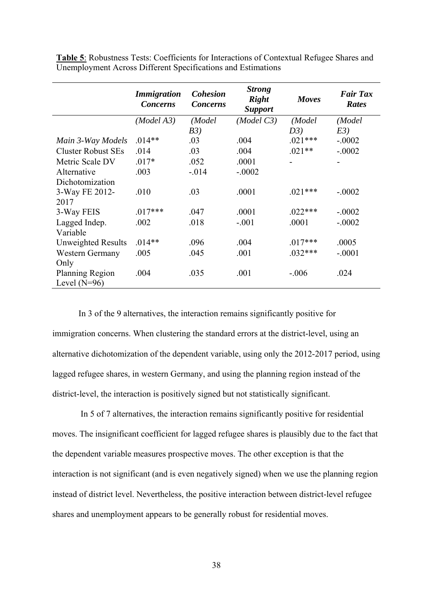|                           | <i>Immigration</i><br><b>Concerns</b> | <b>Cohesion</b><br><b>Concerns</b> | <b>Strong</b><br><b>Right</b><br><b>Support</b> | Moves     | <b>Fair Tax</b><br><b>Rates</b> |
|---------------------------|---------------------------------------|------------------------------------|-------------------------------------------------|-----------|---------------------------------|
|                           | (Model A3)                            | (Model                             | (Model C3)                                      | (Model    | (Model                          |
|                           |                                       | B3)                                |                                                 | D3)       | E3)                             |
| Main 3-Way Models         | $.014**$                              | .03                                | .004                                            | $.021***$ | $-.0002$                        |
| <b>Cluster Robust SEs</b> | .014                                  | .03                                | .004                                            | $.021**$  | $-.0002$                        |
| Metric Scale DV           | $.017*$                               | .052                               | .0001                                           |           |                                 |
| Alternative               | .003                                  | $-.014$                            | $-.0002$                                        |           |                                 |
| Dichotomization           |                                       |                                    |                                                 |           |                                 |
| 3-Way FE 2012-            | .010                                  | .03                                | .0001                                           | $.021***$ | $-.0002$                        |
| 2017                      |                                       |                                    |                                                 |           |                                 |
| 3-Way FEIS                | $.017***$                             | .047                               | .0001                                           | $.022***$ | $-.0002$                        |
| Lagged Indep.             | .002                                  | .018                               | $-.001$                                         | .0001     | $-.0002$                        |
| Variable                  |                                       |                                    |                                                 |           |                                 |
| <b>Unweighted Results</b> | $.014**$                              | .096                               | .004                                            | $.017***$ | .0005                           |
| Western Germany           | .005                                  | .045                               | .001                                            | $.032***$ | $-.0001$                        |
| Only                      |                                       |                                    |                                                 |           |                                 |
| Planning Region           | .004                                  | .035                               | .001                                            | $-.006$   | .024                            |
| Level $(N=96)$            |                                       |                                    |                                                 |           |                                 |

**Table 5**: Robustness Tests: Coefficients for Interactions of Contextual Refugee Shares and Unemployment Across Different Specifications and Estimations

In 3 of the 9 alternatives, the interaction remains significantly positive for immigration concerns. When clustering the standard errors at the district-level, using an alternative dichotomization of the dependent variable, using only the 2012-2017 period, using lagged refugee shares, in western Germany, and using the planning region instead of the district-level, the interaction is positively signed but not statistically significant.

 In 5 of 7 alternatives, the interaction remains significantly positive for residential moves. The insignificant coefficient for lagged refugee shares is plausibly due to the fact that the dependent variable measures prospective moves. The other exception is that the interaction is not significant (and is even negatively signed) when we use the planning region instead of district level. Nevertheless, the positive interaction between district-level refugee shares and unemployment appears to be generally robust for residential moves.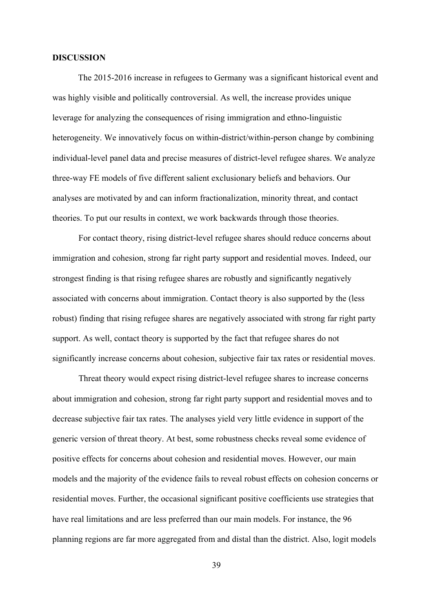#### **DISCUSSION**

 The 2015-2016 increase in refugees to Germany was a significant historical event and was highly visible and politically controversial. As well, the increase provides unique leverage for analyzing the consequences of rising immigration and ethno-linguistic heterogeneity. We innovatively focus on within-district/within-person change by combining individual-level panel data and precise measures of district-level refugee shares. We analyze three-way FE models of five different salient exclusionary beliefs and behaviors. Our analyses are motivated by and can inform fractionalization, minority threat, and contact theories. To put our results in context, we work backwards through those theories.

For contact theory, rising district-level refugee shares should reduce concerns about immigration and cohesion, strong far right party support and residential moves. Indeed, our strongest finding is that rising refugee shares are robustly and significantly negatively associated with concerns about immigration. Contact theory is also supported by the (less robust) finding that rising refugee shares are negatively associated with strong far right party support. As well, contact theory is supported by the fact that refugee shares do not significantly increase concerns about cohesion, subjective fair tax rates or residential moves.

Threat theory would expect rising district-level refugee shares to increase concerns about immigration and cohesion, strong far right party support and residential moves and to decrease subjective fair tax rates. The analyses yield very little evidence in support of the generic version of threat theory. At best, some robustness checks reveal some evidence of positive effects for concerns about cohesion and residential moves. However, our main models and the majority of the evidence fails to reveal robust effects on cohesion concerns or residential moves. Further, the occasional significant positive coefficients use strategies that have real limitations and are less preferred than our main models. For instance, the 96 planning regions are far more aggregated from and distal than the district. Also, logit models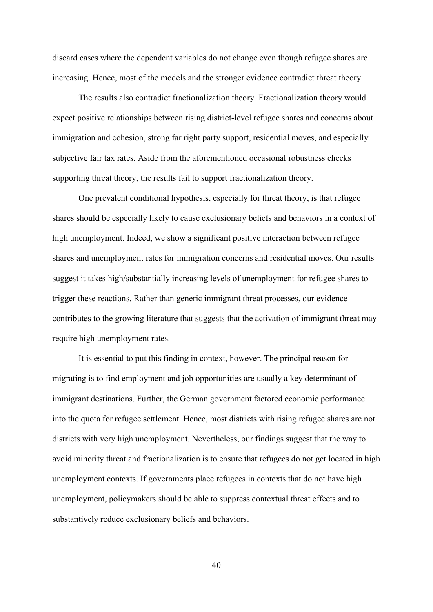discard cases where the dependent variables do not change even though refugee shares are increasing. Hence, most of the models and the stronger evidence contradict threat theory.

The results also contradict fractionalization theory. Fractionalization theory would expect positive relationships between rising district-level refugee shares and concerns about immigration and cohesion, strong far right party support, residential moves, and especially subjective fair tax rates. Aside from the aforementioned occasional robustness checks supporting threat theory, the results fail to support fractionalization theory.

One prevalent conditional hypothesis, especially for threat theory, is that refugee shares should be especially likely to cause exclusionary beliefs and behaviors in a context of high unemployment. Indeed, we show a significant positive interaction between refugee shares and unemployment rates for immigration concerns and residential moves. Our results suggest it takes high/substantially increasing levels of unemployment for refugee shares to trigger these reactions. Rather than generic immigrant threat processes, our evidence contributes to the growing literature that suggests that the activation of immigrant threat may require high unemployment rates.

It is essential to put this finding in context, however. The principal reason for migrating is to find employment and job opportunities are usually a key determinant of immigrant destinations. Further, the German government factored economic performance into the quota for refugee settlement. Hence, most districts with rising refugee shares are not districts with very high unemployment. Nevertheless, our findings suggest that the way to avoid minority threat and fractionalization is to ensure that refugees do not get located in high unemployment contexts. If governments place refugees in contexts that do not have high unemployment, policymakers should be able to suppress contextual threat effects and to substantively reduce exclusionary beliefs and behaviors.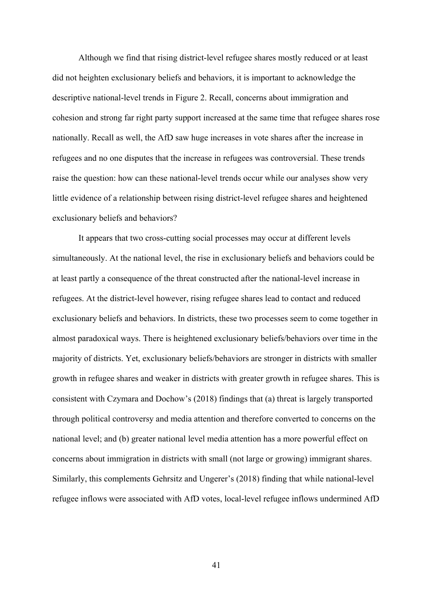Although we find that rising district-level refugee shares mostly reduced or at least did not heighten exclusionary beliefs and behaviors, it is important to acknowledge the descriptive national-level trends in Figure 2. Recall, concerns about immigration and cohesion and strong far right party support increased at the same time that refugee shares rose nationally. Recall as well, the AfD saw huge increases in vote shares after the increase in refugees and no one disputes that the increase in refugees was controversial. These trends raise the question: how can these national-level trends occur while our analyses show very little evidence of a relationship between rising district-level refugee shares and heightened exclusionary beliefs and behaviors?

It appears that two cross-cutting social processes may occur at different levels simultaneously. At the national level, the rise in exclusionary beliefs and behaviors could be at least partly a consequence of the threat constructed after the national-level increase in refugees. At the district-level however, rising refugee shares lead to contact and reduced exclusionary beliefs and behaviors. In districts, these two processes seem to come together in almost paradoxical ways. There is heightened exclusionary beliefs/behaviors over time in the majority of districts. Yet, exclusionary beliefs/behaviors are stronger in districts with smaller growth in refugee shares and weaker in districts with greater growth in refugee shares. This is consistent with Czymara and Dochow's (2018) findings that (a) threat is largely transported through political controversy and media attention and therefore converted to concerns on the national level; and (b) greater national level media attention has a more powerful effect on concerns about immigration in districts with small (not large or growing) immigrant shares. Similarly, this complements Gehrsitz and Ungerer's (2018) finding that while national-level refugee inflows were associated with AfD votes, local-level refugee inflows undermined AfD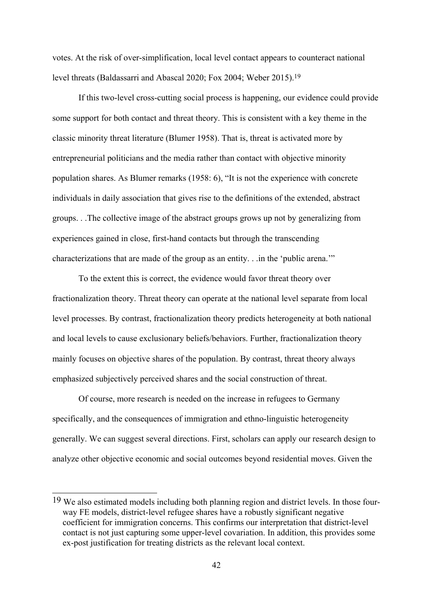votes. At the risk of over-simplification, local level contact appears to counteract national level threats (Baldassarri and Abascal 2020; Fox 2004; Weber 2015).19

If this two-level cross-cutting social process is happening, our evidence could provide some support for both contact and threat theory. This is consistent with a key theme in the classic minority threat literature (Blumer 1958). That is, threat is activated more by entrepreneurial politicians and the media rather than contact with objective minority population shares. As Blumer remarks (1958: 6), "It is not the experience with concrete individuals in daily association that gives rise to the definitions of the extended, abstract groups. . .The collective image of the abstract groups grows up not by generalizing from experiences gained in close, first-hand contacts but through the transcending characterizations that are made of the group as an entity. . .in the 'public arena.'"

To the extent this is correct, the evidence would favor threat theory over fractionalization theory. Threat theory can operate at the national level separate from local level processes. By contrast, fractionalization theory predicts heterogeneity at both national and local levels to cause exclusionary beliefs/behaviors. Further, fractionalization theory mainly focuses on objective shares of the population. By contrast, threat theory always emphasized subjectively perceived shares and the social construction of threat.

Of course, more research is needed on the increase in refugees to Germany specifically, and the consequences of immigration and ethno-linguistic heterogeneity generally. We can suggest several directions. First, scholars can apply our research design to analyze other objective economic and social outcomes beyond residential moves. Given the

<sup>19</sup> We also estimated models including both planning region and district levels. In those fourway FE models, district-level refugee shares have a robustly significant negative coefficient for immigration concerns. This confirms our interpretation that district-level contact is not just capturing some upper-level covariation. In addition, this provides some ex-post justification for treating districts as the relevant local context.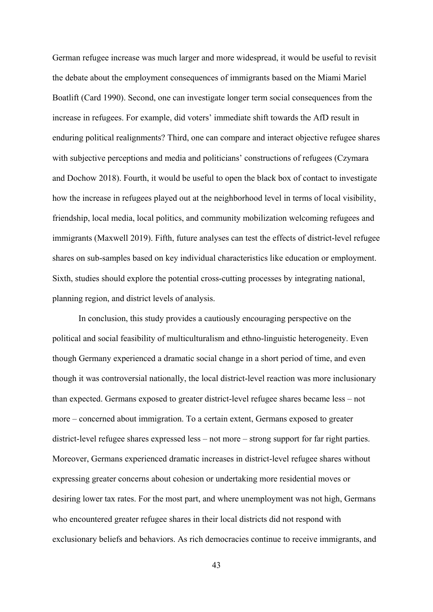German refugee increase was much larger and more widespread, it would be useful to revisit the debate about the employment consequences of immigrants based on the Miami Mariel Boatlift (Card 1990). Second, one can investigate longer term social consequences from the increase in refugees. For example, did voters' immediate shift towards the AfD result in enduring political realignments? Third, one can compare and interact objective refugee shares with subjective perceptions and media and politicians' constructions of refugees (Czymara and Dochow 2018). Fourth, it would be useful to open the black box of contact to investigate how the increase in refugees played out at the neighborhood level in terms of local visibility, friendship, local media, local politics, and community mobilization welcoming refugees and immigrants (Maxwell 2019). Fifth, future analyses can test the effects of district-level refugee shares on sub-samples based on key individual characteristics like education or employment. Sixth, studies should explore the potential cross-cutting processes by integrating national, planning region, and district levels of analysis.

In conclusion, this study provides a cautiously encouraging perspective on the political and social feasibility of multiculturalism and ethno-linguistic heterogeneity. Even though Germany experienced a dramatic social change in a short period of time, and even though it was controversial nationally, the local district-level reaction was more inclusionary than expected. Germans exposed to greater district-level refugee shares became less – not more – concerned about immigration. To a certain extent, Germans exposed to greater district-level refugee shares expressed less – not more – strong support for far right parties. Moreover, Germans experienced dramatic increases in district-level refugee shares without expressing greater concerns about cohesion or undertaking more residential moves or desiring lower tax rates. For the most part, and where unemployment was not high, Germans who encountered greater refugee shares in their local districts did not respond with exclusionary beliefs and behaviors. As rich democracies continue to receive immigrants, and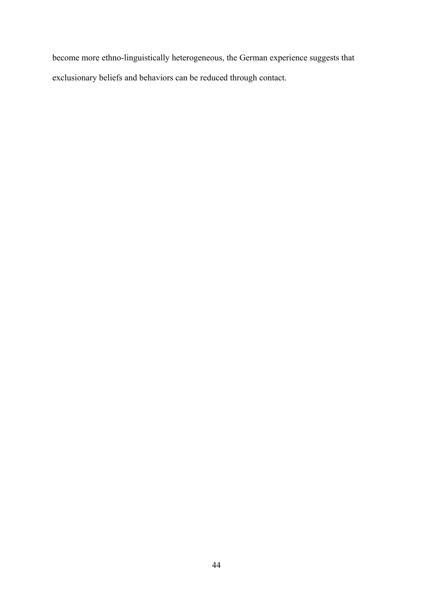become more ethno-linguistically heterogeneous, the German experience suggests that exclusionary beliefs and behaviors can be reduced through contact.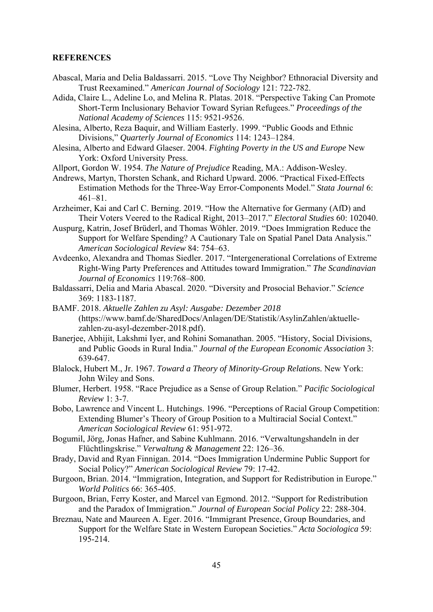#### **REFERENCES**

- Abascal, Maria and Delia Baldassarri. 2015. "Love Thy Neighbor? Ethnoracial Diversity and Trust Reexamined." *American Journal of Sociology* 121: 722-782.
- Adida, Claire L., Adeline Lo, and Melina R. Platas. 2018. "Perspective Taking Can Promote Short-Term Inclusionary Behavior Toward Syrian Refugees." *Proceedings of the National Academy of Sciences* 115: 9521-9526.
- Alesina, Alberto, Reza Baquir, and William Easterly. 1999. "Public Goods and Ethnic Divisions," *Quarterly Journal of Economics* 114: 1243–1284.
- Alesina, Alberto and Edward Glaeser. 2004. *Fighting Poverty in the US and Europe* New York: Oxford University Press.
- Allport, Gordon W. 1954. *The Nature of Prejudice* Reading, MA.: Addison-Wesley.
- Andrews, Martyn, Thorsten Schank, and Richard Upward. 2006. "Practical Fixed-Effects Estimation Methods for the Three-Way Error-Components Model." *Stata Journal* 6: 461–81.
- Arzheimer, Kai and Carl C. Berning. 2019. "How the Alternative for Germany (AfD) and Their Voters Veered to the Radical Right, 2013–2017." *Electoral Studies* 60: 102040.
- Auspurg, Katrin, Josef Brüderl, and Thomas Wöhler. 2019. "Does Immigration Reduce the Support for Welfare Spending? A Cautionary Tale on Spatial Panel Data Analysis." *American Sociological Review* 84: 754–63.
- Avdeenko, Alexandra and Thomas Siedler. 2017. "Intergenerational Correlations of Extreme Right‐Wing Party Preferences and Attitudes toward Immigration." *The Scandinavian Journal of Economics* 119:768–800.
- Baldassarri, Delia and Maria Abascal. 2020. "Diversity and Prosocial Behavior." *Science* 369: 1183-1187.
- BAMF. 2018. *Aktuelle Zahlen zu Asyl: Ausgabe: Dezember 2018*  (https://www.bamf.de/SharedDocs/Anlagen/DE/Statistik/AsylinZahlen/aktuellezahlen-zu-asyl-dezember-2018.pdf).
- Baneriee, Abhijit, Lakshmi Iver, and Rohini Somanathan. 2005. "History, Social Divisions, and Public Goods in Rural India." *Journal of the European Economic Association* 3: 639-647.
- Blalock, Hubert M., Jr. 1967. *Toward a Theory of Minority-Group Relations.* New York: John Wiley and Sons.
- Blumer, Herbert. 1958. "Race Prejudice as a Sense of Group Relation." *Pacific Sociological Review* 1: 3-7.
- Bobo, Lawrence and Vincent L. Hutchings. 1996. "Perceptions of Racial Group Competition: Extending Blumer's Theory of Group Position to a Multiracial Social Context." *American Sociological Review* 61: 951-972.
- Bogumil, Jörg, Jonas Hafner, and Sabine Kuhlmann. 2016. "Verwaltungshandeln in der Flüchtlingskrise." *Verwaltung & Management* 22: 126–36.
- Brady, David and Ryan Finnigan. 2014. "Does Immigration Undermine Public Support for Social Policy?" *American Sociological Review* 79: 17-42.
- Burgoon, Brian. 2014. "Immigration, Integration, and Support for Redistribution in Europe." *World Politics* 66: 365-405.
- Burgoon, Brian, Ferry Koster, and Marcel van Egmond. 2012. "Support for Redistribution and the Paradox of Immigration." *Journal of European Social Policy* 22: 288-304.
- Breznau, Nate and Maureen A. Eger. 2016. "Immigrant Presence, Group Boundaries, and Support for the Welfare State in Western European Societies." *Acta Sociologica* 59: 195-214.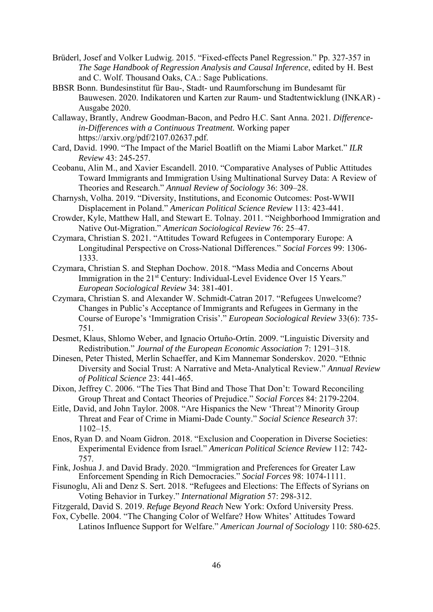- Brüderl, Josef and Volker Ludwig. 2015. "Fixed-effects Panel Regression." Pp. 327-357 in *The Sage Handbook of Regression Analysis and Causal Inference*, edited by H. Best and C. Wolf. Thousand Oaks, CA.: Sage Publications.
- BBSR Bonn. Bundesinstitut für Bau-, Stadt- und Raumforschung im Bundesamt für Bauwesen. 2020. Indikatoren und Karten zur Raum- und Stadtentwicklung (INKAR) - Ausgabe 2020.
- Callaway, Brantly, Andrew Goodman-Bacon, and Pedro H.C. Sant Anna. 2021. *Differencein-Differences with a Continuous Treatment.* Working paper https://arxiv.org/pdf/2107.02637.pdf.
- Card, David. 1990. "The Impact of the Mariel Boatlift on the Miami Labor Market." *ILR Review* 43: 245-257.
- Ceobanu, Alin M., and Xavier Escandell. 2010. "Comparative Analyses of Public Attitudes Toward Immigrants and Immigration Using Multinational Survey Data: A Review of Theories and Research." *Annual Review of Sociology* 36: 309–28.
- Charnysh, Volha. 2019. "Diversity, Institutions, and Economic Outcomes: Post-WWII Displacement in Poland." *American Political Science Review* 113: 423-441.
- Crowder, Kyle, Matthew Hall, and Stewart E. Tolnay. 2011. "Neighborhood Immigration and Native Out-Migration." *American Sociological Review* 76: 25–47.
- Czymara, Christian S. 2021. "Attitudes Toward Refugees in Contemporary Europe: A Longitudinal Perspective on Cross-National Differences." *Social Forces* 99: 1306- 1333.
- Czymara, Christian S. and Stephan Dochow. 2018. "Mass Media and Concerns About Immigration in the 21<sup>st</sup> Century: Individual-Level Evidence Over 15 Years." *European Sociological Review* 34: 381-401.
- Czymara, Christian S. and Alexander W. Schmidt-Catran 2017. "Refugees Unwelcome? Changes in Public's Acceptance of Immigrants and Refugees in Germany in the Course of Europe's 'Immigration Crisis'." *European Sociological Review* 33(6): 735- 751.
- Desmet, Klaus, Shlomo Weber, and Ignacio Ortuño-Ortín. 2009. "Linguistic Diversity and Redistribution." *Journal of the European Economic Association* 7: 1291–318.
- Dinesen, Peter Thisted, Merlin Schaeffer, and Kim Mannemar Sonderskov. 2020. "Ethnic Diversity and Social Trust: A Narrative and Meta-Analytical Review." *Annual Review of Political Science* 23: 441-465.
- Dixon, Jeffrey C. 2006. "The Ties That Bind and Those That Don't: Toward Reconciling Group Threat and Contact Theories of Prejudice." *Social Forces* 84: 2179-2204.
- Eitle, David, and John Taylor. 2008. "Are Hispanics the New 'Threat'? Minority Group Threat and Fear of Crime in Miami-Dade County." *Social Science Research* 37: 1102–15.
- Enos, Ryan D. and Noam Gidron. 2018. "Exclusion and Cooperation in Diverse Societies: Experimental Evidence from Israel." *American Political Science Review* 112: 742- 757.
- Fink, Joshua J. and David Brady. 2020. "Immigration and Preferences for Greater Law Enforcement Spending in Rich Democracies." *Social Forces* 98: 1074-1111.
- Fisunoglu, Ali and Denz S. Sert. 2018. "Refugees and Elections: The Effects of Syrians on Voting Behavior in Turkey." *International Migration* 57: 298-312.
- Fitzgerald, David S. 2019. *Refuge Beyond Reach* New York: Oxford University Press.
- Fox, Cybelle. 2004. "The Changing Color of Welfare? How Whites' Attitudes Toward Latinos Influence Support for Welfare." *American Journal of Sociology* 110: 580-625.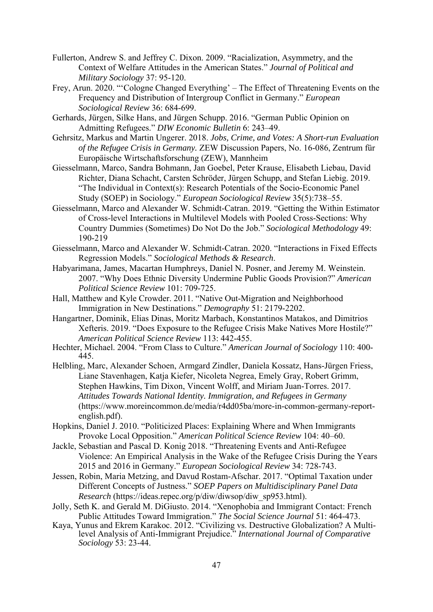- Fullerton, Andrew S. and Jeffrey C. Dixon. 2009. "Racialization, Asymmetry, and the Context of Welfare Attitudes in the American States." *Journal of Political and Military Sociology* 37: 95-120.
- Frey, Arun. 2020. "'Cologne Changed Everything' The Effect of Threatening Events on the Frequency and Distribution of Intergroup Conflict in Germany." *European Sociological Review* 36: 684-699.
- Gerhards, Jürgen, Silke Hans, and Jürgen Schupp. 2016. "German Public Opinion on Admitting Refugees." *DIW Economic Bulletin* 6: 243–49.
- Gehrsitz, Markus and Martin Ungerer. 2018. *Jobs, Crime, and Votes: A Short-run Evaluation of the Refugee Crisis in Germany.* ZEW Discussion Papers, No. 16-086, Zentrum für Europäische Wirtschaftsforschung (ZEW), Mannheim
- Giesselmann, Marco, Sandra Bohmann, Jan Goebel, Peter Krause, Elisabeth Liebau, David Richter, Diana Schacht, Carsten Schröder, Jürgen Schupp, and Stefan Liebig. 2019. "The Individual in Context(s): Research Potentials of the Socio-Economic Panel Study (SOEP) in Sociology." *European Sociological Review* 35(5):738–55.
- Giesselmann, Marco and Alexander W. Schmidt-Catran. 2019. "Getting the Within Estimator of Cross-level Interactions in Multilevel Models with Pooled Cross-Sections: Why Country Dummies (Sometimes) Do Not Do the Job." *Sociological Methodology* 49: 190-219
- Giesselmann, Marco and Alexander W. Schmidt-Catran. 2020. "Interactions in Fixed Effects Regression Models." *Sociological Methods & Research*.
- Habyarimana, James, Macartan Humphreys, Daniel N. Posner, and Jeremy M. Weinstein. 2007. "Why Does Ethnic Diversity Undermine Public Goods Provision?" *American Political Science Review* 101: 709-725.
- Hall, Matthew and Kyle Crowder. 2011. "Native Out-Migration and Neighborhood Immigration in New Destinations." *Demography* 51: 2179-2202.
- Hangartner, Dominik, Elias Dinas, Moritz Marbach, Konstantinos Matakos, and Dimitrios Xefteris. 2019. "Does Exposure to the Refugee Crisis Make Natives More Hostile?" *American Political Science Review* 113: 442-455.
- Hechter, Michael. 2004. "From Class to Culture." *American Journal of Sociology* 110: 400- 445.
- Helbling, Marc, Alexander Schoen, Armgard Zindler, Daniela Kossatz, Hans-Jürgen Friess, Liane Stavenhagen, Katja Kiefer, Nicoleta Negrea, Emely Gray, Robert Grimm, Stephen Hawkins, Tim Dixon, Vincent Wolff, and Miriam Juan-Torres. 2017. *Attitudes Towards National Identity. Immigration, and Refugees in Germany* (https://www.moreincommon.de/media/r4dd05ba/more-in-common-germany-reportenglish.pdf).
- Hopkins, Daniel J. 2010. "Politicized Places: Explaining Where and When Immigrants Provoke Local Opposition." *American Political Science Review* 104: 40–60.
- Jackle, Sebastian and Pascal D. Konig 2018. "Threatening Events and Anti-Refugee Violence: An Empirical Analysis in the Wake of the Refugee Crisis During the Years 2015 and 2016 in Germany." *European Sociological Review* 34: 728-743.
- Jessen, Robin, Maria Metzing, and Davud Rostam-Afschar. 2017. "Optimal Taxation under Different Concepts of Justness." *SOEP Papers on Multidisciplinary Panel Data Research* (https://ideas.repec.org/p/diw/diwsop/diw\_sp953.html).
- Jolly, Seth K. and Gerald M. DiGiusto. 2014. "Xenophobia and Immigrant Contact: French Public Attitudes Toward Immigration." *The Social Science Journal* 51: 464-473.
- Kaya, Yunus and Ekrem Karakoc. 2012. "Civilizing vs. Destructive Globalization? A Multilevel Analysis of Anti-Immigrant Prejudice." *International Journal of Comparative Sociology* 53: 23-44.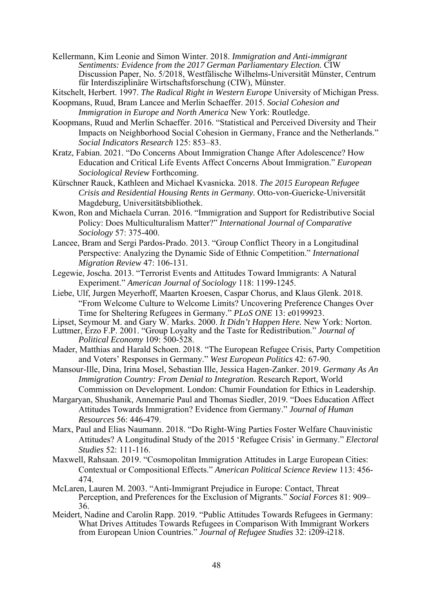- Kellermann, Kim Leonie and Simon Winter. 2018. *Immigration and Anti-immigrant Sentiments: Evidence from the 2017 German Parliamentary Election.* CIW Discussion Paper, No. 5/2018, Westfälische Wilhelms-Universität Münster, Centrum für Interdisziplinäre Wirtschaftsforschung (CIW), Münster.
- Kitschelt, Herbert. 1997. *The Radical Right in Western Europe* University of Michigan Press.
- Koopmans, Ruud, Bram Lancee and Merlin Schaeffer. 2015. *Social Cohesion and Immigration in Europe and North America* New York: Routledge.
- Koopmans, Ruud and Merlin Schaeffer. 2016. "Statistical and Perceived Diversity and Their Impacts on Neighborhood Social Cohesion in Germany, France and the Netherlands." *Social Indicators Research* 125: 853–83.
- Kratz, Fabian. 2021. "Do Concerns About Immigration Change After Adolescence? How Education and Critical Life Events Affect Concerns About Immigration." *European Sociological Review* Forthcoming.
- Kürschner Rauck, Kathleen and Michael Kvasnicka. 2018. *The 2015 European Refugee Crisis and Residential Housing Rents in Germany.* Otto-von-Guericke-Universität Magdeburg, Universitätsbibliothek.
- Kwon, Ron and Michaela Curran. 2016. "Immigration and Support for Redistributive Social Policy: Does Multiculturalism Matter?" *International Journal of Comparative Sociology* 57: 375-400.
- Lancee, Bram and Sergi Pardos-Prado. 2013. "Group Conflict Theory in a Longitudinal Perspective: Analyzing the Dynamic Side of Ethnic Competition." *International Migration Review* 47: 106-131.
- Legewie, Joscha. 2013. "Terrorist Events and Attitudes Toward Immigrants: A Natural Experiment." *American Journal of Sociology* 118: 1199-1245.
- Liebe, Ulf, Jurgen Meyerhoff, Maarten Kroesen, Caspar Chorus, and Klaus Glenk. 2018. "From Welcome Culture to Welcome Limits? Uncovering Preference Changes Over Time for Sheltering Refugees in Germany." *PLoS ONE* 13: e0199923.
- Lipset, Seymour M. and Gary W. Marks. 2000. *It Didn't Happen Here.* New York: Norton.
- Luttmer, Erzo F.P. 2001. "Group Loyalty and the Taste for Redistribution." *Journal of Political Economy* 109: 500-528.
- Mader, Matthias and Harald Schoen. 2018. "The European Refugee Crisis, Party Competition and Voters' Responses in Germany." *West European Politics* 42: 67-90.
- Mansour-Ille, Dina, Irina Mosel, Sebastian Ille, Jessica Hagen-Zanker. 2019. *Germany As An Immigration Country: From Denial to Integration.* Research Report, World
- Commission on Development. London: Chumir Foundation for Ethics in Leadership. Margaryan, Shushanik, Annemarie Paul and Thomas Siedler, 2019. "Does Education Affect Attitudes Towards Immigration? Evidence from Germany." *Journal of Human Resources* 56: 446-479.
- Marx, Paul and Elias Naumann. 2018. "Do Right-Wing Parties Foster Welfare Chauvinistic Attitudes? A Longitudinal Study of the 2015 'Refugee Crisis' in Germany." *Electoral Studies* 52: 111-116.
- Maxwell, Rahsaan. 2019. "Cosmopolitan Immigration Attitudes in Large European Cities: Contextual or Compositional Effects." *American Political Science Review* 113: 456- 474.
- McLaren, Lauren M. 2003. "Anti-Immigrant Prejudice in Europe: Contact, Threat Perception, and Preferences for the Exclusion of Migrants." *Social Forces* 81: 909– 36.
- Meidert, Nadine and Carolin Rapp. 2019. "Public Attitudes Towards Refugees in Germany: What Drives Attitudes Towards Refugees in Comparison With Immigrant Workers from European Union Countries." *Journal of Refugee Studies* 32: i209-i218.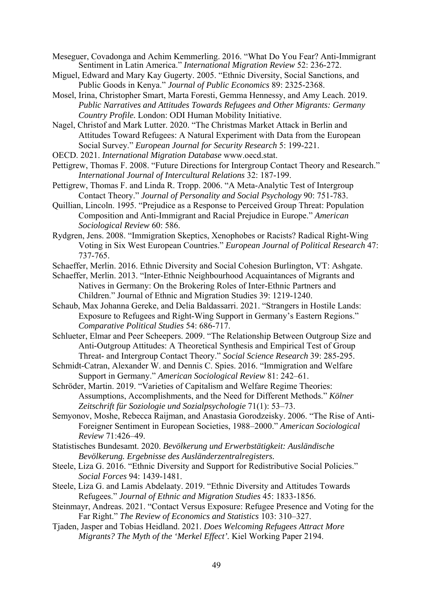- Meseguer, Covadonga and Achim Kemmerling. 2016. "What Do You Fear? Anti-Immigrant Sentiment in Latin America." *International Migration Review* 52: 236-272.
- Miguel, Edward and Mary Kay Gugerty. 2005. "Ethnic Diversity, Social Sanctions, and Public Goods in Kenya." *Journal of Public Economics* 89: 2325-2368.
- Mosel, Irina, Christopher Smart, Marta Foresti, Gemma Hennessy, and Amy Leach. 2019. *Public Narratives and Attitudes Towards Refugees and Other Migrants: Germany Country Profile.* London: ODI Human Mobility Initiative.
- Nagel, Christof and Mark Lutter. 2020. "The Christmas Market Attack in Berlin and Attitudes Toward Refugees: A Natural Experiment with Data from the European Social Survey." *European Journal for Security Research* 5: 199-221.
- OECD. 2021. *International Migration Database* www.oecd.stat.
- Pettigrew, Thomas F. 2008. "Future Directions for Intergroup Contact Theory and Research." *International Journal of Intercultural Relations* 32: 187-199.
- Pettigrew, Thomas F. and Linda R. Tropp. 2006. "A Meta-Analytic Test of Intergroup Contact Theory." *Journal of Personality and Social Psychology* 90: 751-783.
- Quillian, Lincoln. 1995. "Prejudice as a Response to Perceived Group Threat: Population Composition and Anti-Immigrant and Racial Prejudice in Europe." *American Sociological Review* 60: 586.
- Rydgren, Jens. 2008. "Immigration Skeptics, Xenophobes or Racists? Radical Right-Wing Voting in Six West European Countries." *European Journal of Political Research* 47: 737-765.
- Schaeffer, Merlin. 2016. Ethnic Diversity and Social Cohesion Burlington, VT: Ashgate.
- Schaeffer, Merlin. 2013. "Inter-Ethnic Neighbourhood Acquaintances of Migrants and Natives in Germany: On the Brokering Roles of Inter-Ethnic Partners and Children." Journal of Ethnic and Migration Studies 39: 1219-1240.
- Schaub, Max Johanna Gereke, and Delia Baldassarri. 2021. "Strangers in Hostile Lands: Exposure to Refugees and Right-Wing Support in Germany's Eastern Regions." *Comparative Political Studies* 54: 686-717.
- Schlueter, Elmar and Peer Scheepers. 2009. "The Relationship Between Outgroup Size and Anti-Outgroup Attitudes: A Theoretical Synthesis and Empirical Test of Group Threat- and Intergroup Contact Theory." *Social Science Research* 39: 285-295.
- Schmidt-Catran, Alexander W. and Dennis C. Spies. 2016. "Immigration and Welfare Support in Germany." *American Sociological Review* 81: 242–61.
- Schröder, Martin. 2019. "Varieties of Capitalism and Welfare Regime Theories: Assumptions, Accomplishments, and the Need for Different Methods." *Kölner Zeitschrift für Soziologie und Sozialpsychologie* 71(1): 53–73.
- Semyonov, Moshe, Rebecca Raijman, and Anastasia Gorodzeisky. 2006. "The Rise of Anti-Foreigner Sentiment in European Societies, 1988–2000." *American Sociological Review* 71:426–49.
- Statistisches Bundesamt. 2020. *Bevölkerung und Erwerbstätigkeit: Ausländische Bevölkerung. Ergebnisse des Ausländerzentralregisters.*
- Steele, Liza G. 2016. "Ethnic Diversity and Support for Redistributive Social Policies." *Social Forces* 94: 1439-1481.
- Steele, Liza G. and Lamis Abdelaaty. 2019. "Ethnic Diversity and Attitudes Towards Refugees." *Journal of Ethnic and Migration Studies* 45: 1833-1856.
- Steinmayr, Andreas. 2021. "Contact Versus Exposure: Refugee Presence and Voting for the Far Right." *The Review of Economics and Statistics* 103: 310–327.
- Tjaden, Jasper and Tobias Heidland. 2021. *Does Welcoming Refugees Attract More Migrants? The Myth of the 'Merkel Effect'.* Kiel Working Paper 2194.